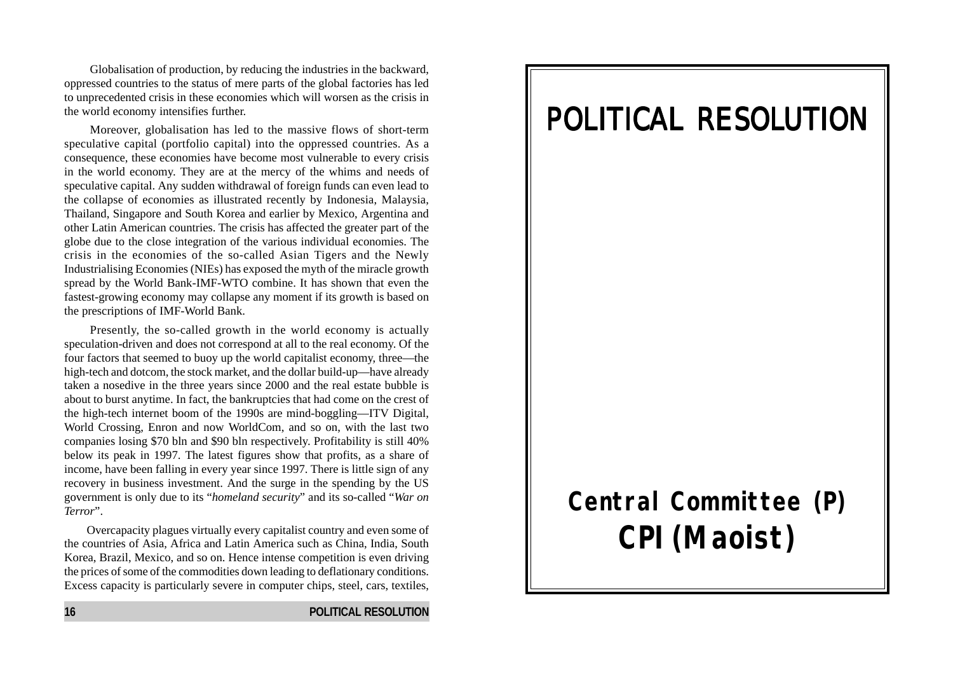Globalisation of production, by reducing the industries in the backward, oppressed countries to the status of mere parts of the global factories has led to unprecedented crisis in these economies which will worsen as the crisis in the world economy intensifies further.

Moreover, globalisation has led to the massive flows of short-term speculative capital (portfolio capital) into the oppressed countries. As a consequence, these economies have become most vulnerable to every crisis in the world economy. They are at the mercy of the whims and needs of speculative capital. Any sudden withdrawal of foreign funds can even lead to the collapse of economies as illustrated recently by Indonesia, Malaysia, Thailand, Singapore and South Korea and earlier by Mexico, Argentina and other Latin American countries. The crisis has affected the greater part of the globe due to the close integration of the various individual economies. The crisis in the economies of the so-called Asian Tigers and the Newly Industrialising Economies (NIEs) has exposed the myth of the miracle growth spread by the World Bank-IMF-WTO combine. It has shown that even the fastest-growing economy may collapse any moment if its growth is based on the prescriptions of IMF-World Bank.

Presently, the so-called growth in the world economy is actually speculation-driven and does not correspond at all to the real economy. Of the four factors that seemed to buoy up the world capitalist economy, three—the high-tech and dotcom, the stock market, and the dollar build-up—have already taken a nosedive in the three years since 2000 and the real estate bubble is about to burst anytime. In fact, the bankruptcies that had come on the crest of the high-tech internet boom of the 1990s are mind-boggling—ITV Digital, World Crossing, Enron and now WorldCom, and so on, with the last two companies losing \$70 bln and \$90 bln respectively. Profitability is still 40% below its peak in 1997. The latest figures show that profits, as a share of income, have been falling in every year since 1997. There is little sign of any recovery in business investment. And the surge in the spending by the US government is only due to its "*homeland security*" and its so-called "*War on Terror*".

Overcapacity plagues virtually every capitalist country and even some of the countries of Asia, Africa and Latin America such as China, India, South Korea, Brazil, Mexico, and so on. Hence intense competition is even driving the prices of some of the commodities down leading to deflationary conditions. Excess capacity is particularly severe in computer chips, steel, cars, textiles,

### **16 POLITICAL RESOLUTION**

# POLITICAL RESOLUTION

# **Central Committee (P) CPI(Maoist)**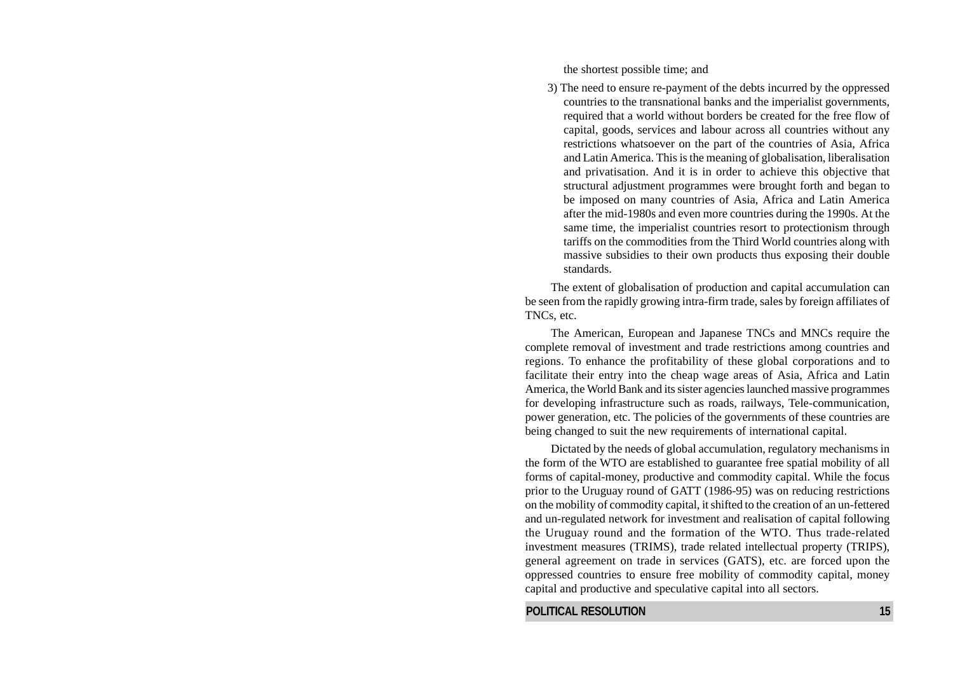the shortest possible time; and

3) The need to ensure re-payment of the debts incurred by the oppressed countries to the transnational banks and the imperialist governments, required that a world without borders be created for the free flow of capital, goods, services and labour across all countries without any restrictions whatsoever on the part of the countries of Asia, Africa and Latin America. This is the meaning of globalisation, liberalisation and privatisation. And it is in order to achieve this objective that structural adjustment programmes were brought forth and began to be imposed on many countries of Asia, Africa and Latin America after the mid-1980s and even more countries during the 1990s. At the same time, the imperialist countries resort to protectionism through tariffs on the commodities from the Third World countries along with massive subsidies to their own products thus exposing their double standards.

The extent of globalisation of production and capital accumulation can be seen from the rapidly growing intra-firm trade, sales by foreign affiliates of TNCs, etc.

The American, European and Japanese TNCs and MNCs require the complete removal of investment and trade restrictions among countries and regions. To enhance the profitability of these global corporations and to facilitate their entry into the cheap wage areas of Asia, Africa and Latin America, the World Bank and its sister agencies launched massive programmes for developing infrastructure such as roads, railways, Tele-communication, power generation, etc. The policies of the governments of these countries are being changed to suit the new requirements of international capital.

Dictated by the needs of global accumulation, regulatory mechanisms in the form of the WTO are established to guarantee free spatial mobility of all forms of capital-money, productive and commodity capital. While the focus prior to the Uruguay round of GATT (1986-95) was on reducing restrictions on the mobility of commodity capital, it shifted to the creation of an un-fettered and un-regulated network for investment and realisation of capital following the Uruguay round and the formation of the WTO. Thus trade-related investment measures (TRIMS), trade related intellectual property (TRIPS), general agreement on trade in services (GATS), etc. are forced upon the oppressed countries to ensure free mobility of commodity capital, money capital and productive and speculative capital into all sectors.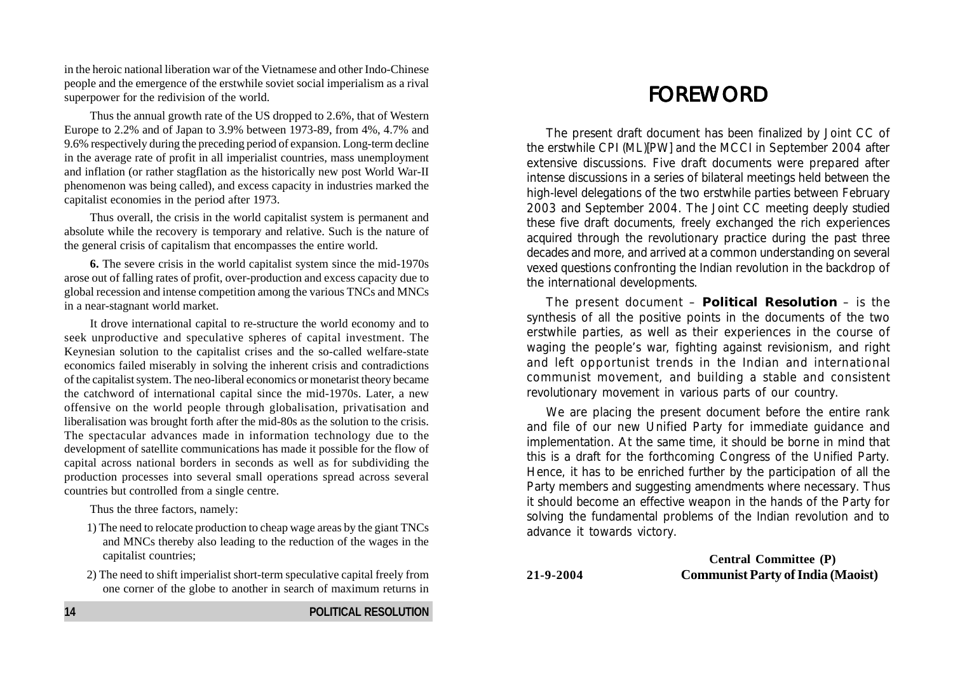in the heroic national liberation war of the Vietnamese and other Indo-Chinese people and the emergence of the erstwhile soviet social imperialism as a rival superpower for the redivision of the world.

Thus the annual growth rate of the US dropped to 2.6%, that of Western Europe to 2.2% and of Japan to 3.9% between 1973-89, from 4%, 4.7% and 9.6% respectively during the preceding period of expansion. Long-term decline in the average rate of profit in all imperialist countries, mass unemployment and inflation (or rather stagflation as the historically new post World War-II phenomenon was being called), and excess capacity in industries marked the capitalist economies in the period after 1973.

Thus overall, the crisis in the world capitalist system is permanent and absolute while the recovery is temporary and relative. Such is the nature of the general crisis of capitalism that encompasses the entire world.

**6.** The severe crisis in the world capitalist system since the mid-1970s arose out of falling rates of profit, over-production and excess capacity due to global recession and intense competition among the various TNCs and MNCs in a near-stagnant world market.

It drove international capital to re-structure the world economy and to seek unproductive and speculative spheres of capital investment. The Keynesian solution to the capitalist crises and the so-called welfare-state economics failed miserably in solving the inherent crisis and contradictions of the capitalist system. The neo-liberal economics or monetarist theory became the catchword of international capital since the mid-1970s. Later, a new offensive on the world people through globalisation, privatisation and liberalisation was brought forth after the mid-80s as the solution to the crisis. The spectacular advances made in information technology due to the development of satellite communications has made it possible for the flow of capital across national borders in seconds as well as for subdividing the production processes into several small operations spread across several countries but controlled from a single centre.

Thus the three factors, namely:

- 1) The need to relocate production to cheap wage areas by the giant TNCs and MNCs thereby also leading to the reduction of the wages in the capitalist countries;
- 2) The need to shift imperialist short-term speculative capital freely from one corner of the globe to another in search of maximum returns in

# FOREWORD

The present draft document has been finalized by Joint CC of the erstwhile CPI (ML)[PW] and the MCCI in September 2004 after extensive discussions. Five draft documents were prepared after intense discussions in a series of bilateral meetings held between the high-level delegations of the two erstwhile parties between February 2003 and September 2004. The Joint CC meeting deeply studied these five draft documents, freely exchanged the rich experiences acquired through the revolutionary practice during the past three decades and more, and arrived at a common understanding on several vexed questions confronting the Indian revolution in the backdrop of the international developments.

The present document – **Political Resolution** – is the synthesis of all the positive points in the documents of the two erstwhile parties, as well as their experiences in the course of waging the people's war, fighting against revisionism, and right and left opportunist trends in the Indian and international communist movement, and building a stable and consistent revolutionary movement in various parts of our country.

We are placing the present document before the entire rank and file of our new Unified Party for immediate guidance and implementation. At the same time, it should be borne in mind that this is a draft for the forthcoming Congress of the Unified Party. Hence, it has to be enriched further by the participation of all the Party members and suggesting amendments where necessary. Thus it should become an effective weapon in the hands of the Party for solving the fundamental problems of the Indian revolution and to advance it towards victory.

**Central Committee (P) 21-9-2004 Communist Party of India (Maoist)**

**14 POLITICAL RESOLUTION**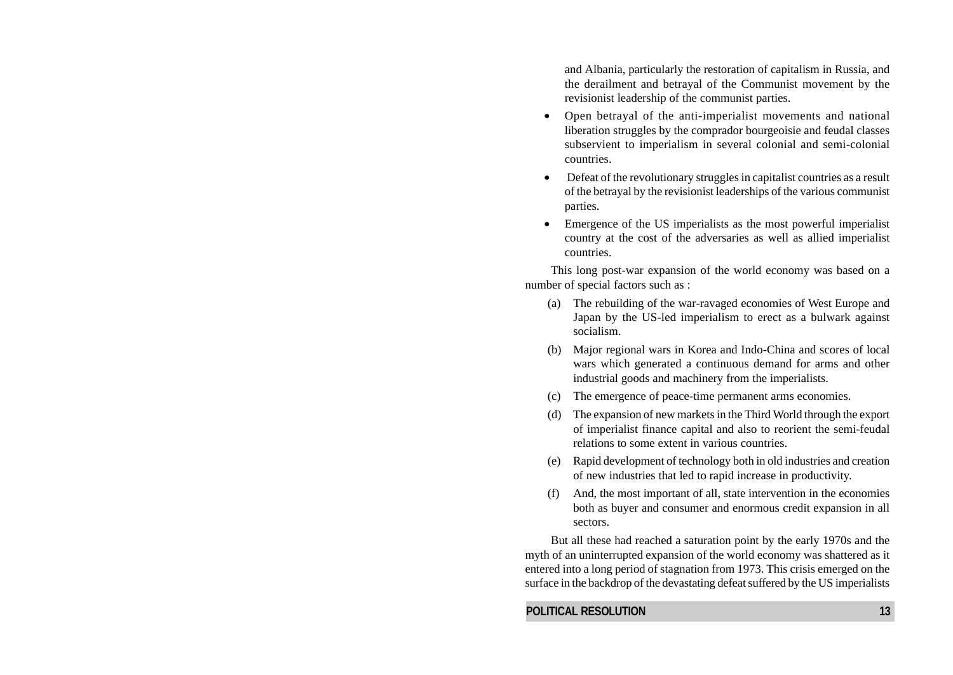and Albania, particularly the restoration of capitalism in Russia, and the derailment and betrayal of the Communist movement by the revisionist leadership of the communist parties.

- Open betrayal of the anti-imperialist movements and national liberation struggles by the comprador bourgeoisie and feudal classes subservient to imperialism in several colonial and semi-colonial countries.
- Defeat of the revolutionary struggles in capitalist countries as a result of the betrayal by the revisionist leaderships of the various communist parties.
- Emergence of the US imperialists as the most powerful imperialist country at the cost of the adversaries as well as allied imperialist countries.

This long post-war expansion of the world economy was based on a number of special factors such as :

- (a) The rebuilding of the war-ravaged economies of West Europe and Japan by the US-led imperialism to erect as a bulwark against socialism.
- (b) Major regional wars in Korea and Indo-China and scores of local wars which generated a continuous demand for arms and other industrial goods and machinery from the imperialists.
- (c) The emergence of peace-time permanent arms economies.
- (d) The expansion of new markets in the Third World through the export of imperialist finance capital and also to reorient the semi-feudal relations to some extent in various countries.
- (e) Rapid development of technology both in old industries and creation of new industries that led to rapid increase in productivity.
- (f) And, the most important of all, state intervention in the economies both as buyer and consumer and enormous credit expansion in all sectors.

But all these had reached a saturation point by the early 1970s and the myth of an uninterrupted expansion of the world economy was shattered as it entered into a long period of stagnation from 1973. This crisis emerged on the surface in the backdrop of the devastating defeat suffered by the US imperialists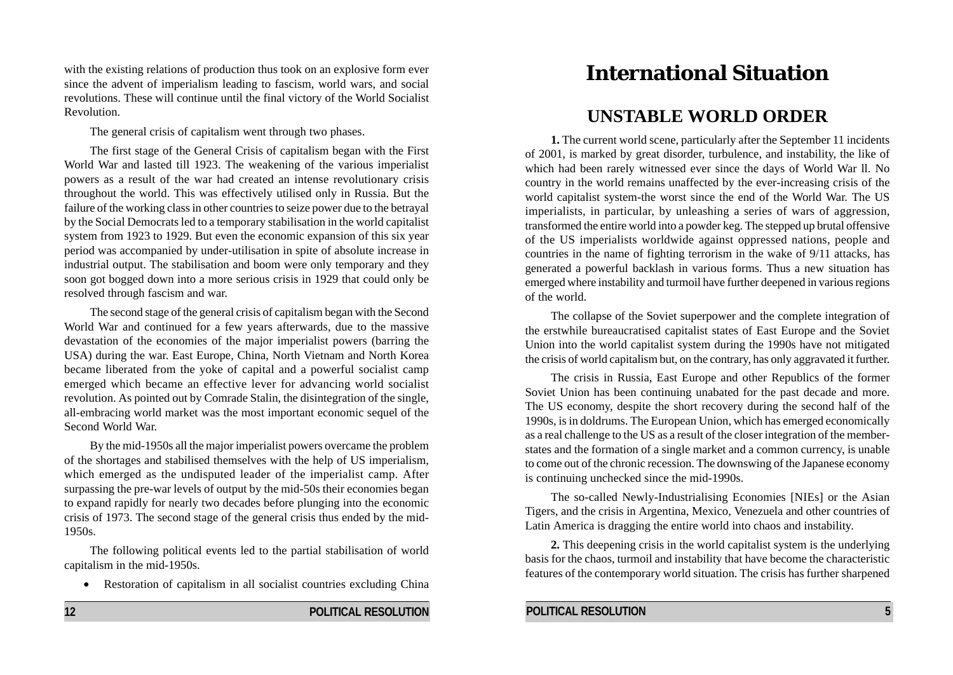with the existing relations of production thus took on an explosive form ever since the advent of imperialism leading to fascism, world wars, and social revolutions. These will continue until the final victory of the World Socialist Revolution.

The general crisis of capitalism went through two phases.

The first stage of the General Crisis of capitalism began with the First World War and lasted till 1923. The weakening of the various imperialist powers as a result of the war had created an intense revolutionary crisis throughout the world. This was effectively utilised only in Russia. But the failure of the working class in other countries to seize power due to the betrayal by the Social Democrats led to a temporary stabilisation in the world capitalist system from 1923 to 1929. But even the economic expansion of this six year period was accompanied by under-utilisation in spite of absolute increase in industrial output. The stabilisation and boom were only temporary and they soon got bogged down into a more serious crisis in 1929 that could only be resolved through fascism and war.

The second stage of the general crisis of capitalism began with the Second World War and continued for a few years afterwards, due to the massive devastation of the economies of the major imperialist powers (barring the USA) during the war. East Europe, China, North Vietnam and North Korea became liberated from the yoke of capital and a powerful socialist camp emerged which became an effective lever for advancing world socialist revolution. As pointed out by Comrade Stalin, the disintegration of the single, all-embracing world market was the most important economic sequel of the Second World War.

By the mid-1950s all the major imperialist powers overcame the problem of the shortages and stabilised themselves with the help of US imperialism, which emerged as the undisputed leader of the imperialist camp. After surpassing the pre-war levels of output by the mid-50s their economies began to expand rapidly for nearly two decades before plunging into the economic crisis of 1973. The second stage of the general crisis thus ended by the mid-1950s.

The following political events led to the partial stabilisation of world capitalism in the mid-1950s.

• Restoration of capitalism in all socialist countries excluding China

# **International Situation**

## **UNSTABLE WORLD ORDER**

**1.** The current world scene, particularly after the September 11 incidents of 2001, is marked by great disorder, turbulence, and instability, the like of which had been rarely witnessed ever since the days of World War ll. No country in the world remains unaffected by the ever-increasing crisis of the world capitalist system-the worst since the end of the World War. The US imperialists, in particular, by unleashing a series of wars of aggression, transformed the entire world into a powder keg. The stepped up brutal offensive of the US imperialists worldwide against oppressed nations, people and countries in the name of fighting terrorism in the wake of 9/11 attacks, has generated a powerful backlash in various forms. Thus a new situation has emerged where instability and turmoil have further deepened in various regions of the world.

The collapse of the Soviet superpower and the complete integration of the erstwhile bureaucratised capitalist states of East Europe and the Soviet Union into the world capitalist system during the 1990s have not mitigated the crisis of world capitalism but, on the contrary, has only aggravated it further.

The crisis in Russia, East Europe and other Republics of the former Soviet Union has been continuing unabated for the past decade and more. The US economy, despite the short recovery during the second half of the 1990s, is in doldrums. The European Union, which has emerged economically as a real challenge to the US as a result of the closer integration of the memberstates and the formation of a single market and a common currency, is unable to come out of the chronic recession. The downswing of the Japanese economy is continuing unchecked since the mid-1990s.

The so-called Newly-Industrialising Economies [NIEs] or the Asian Tigers, and the crisis in Argentina, Mexico, Venezuela and other countries of Latin America is dragging the entire world into chaos and instability.

**2.** This deepening crisis in the world capitalist system is the underlying basis for the chaos, turmoil and instability that have become the characteristic features of the contemporary world situation. The crisis has further sharpened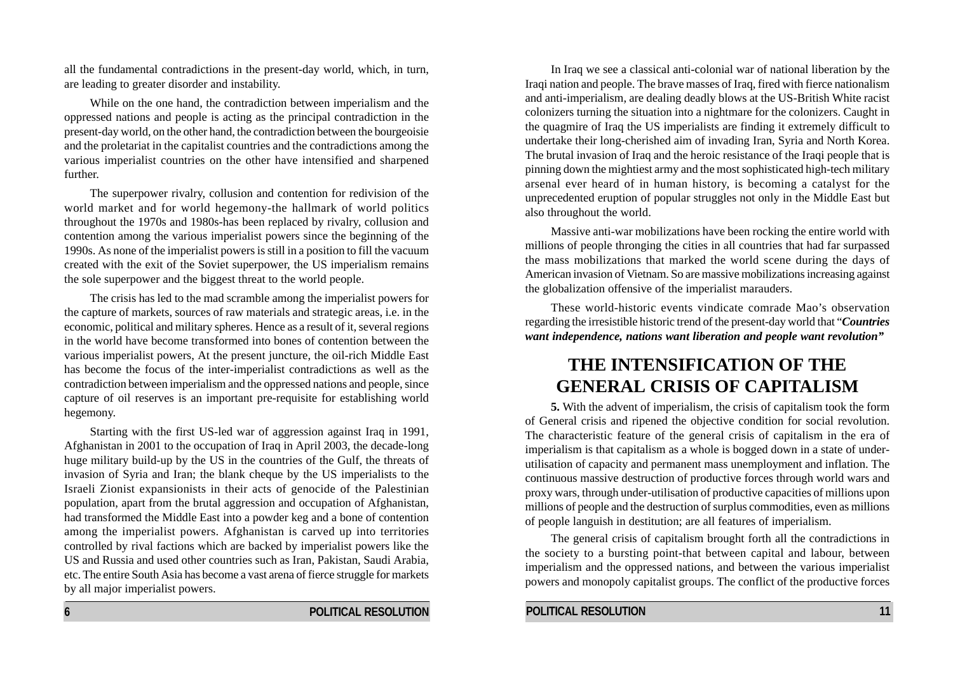all the fundamental contradictions in the present-day world, which, in turn, are leading to greater disorder and instability.

While on the one hand, the contradiction between imperialism and the oppressed nations and people is acting as the principal contradiction in the present-day world, on the other hand, the contradiction between the bourgeoisie and the proletariat in the capitalist countries and the contradictions among the various imperialist countries on the other have intensified and sharpened further.

The superpower rivalry, collusion and contention for redivision of the world market and for world hegemony-the hallmark of world politics throughout the 1970s and 1980s-has been replaced by rivalry, collusion and contention among the various imperialist powers since the beginning of the 1990s. As none of the imperialist powers is still in a position to fill the vacuum created with the exit of the Soviet superpower, the US imperialism remains the sole superpower and the biggest threat to the world people.

The crisis has led to the mad scramble among the imperialist powers for the capture of markets, sources of raw materials and strategic areas, i.e. in the economic, political and military spheres. Hence as a result of it, several regions in the world have become transformed into bones of contention between the various imperialist powers, At the present juncture, the oil-rich Middle East has become the focus of the inter-imperialist contradictions as well as the contradiction between imperialism and the oppressed nations and people, since capture of oil reserves is an important pre-requisite for establishing world hegemony.

Starting with the first US-led war of aggression against Iraq in 1991, Afghanistan in 2001 to the occupation of Iraq in April 2003, the decade-long huge military build-up by the US in the countries of the Gulf, the threats of invasion of Syria and Iran; the blank cheque by the US imperialists to the Israeli Zionist expansionists in their acts of genocide of the Palestinian population, apart from the brutal aggression and occupation of Afghanistan, had transformed the Middle East into a powder keg and a bone of contention among the imperialist powers. Afghanistan is carved up into territories controlled by rival factions which are backed by imperialist powers like the US and Russia and used other countries such as Iran, Pakistan, Saudi Arabia, etc. The entire South Asia has become a vast arena of fierce struggle for markets by all major imperialist powers.

In Iraq we see a classical anti-colonial war of national liberation by the Iraqi nation and people. The brave masses of Iraq, fired with fierce nationalism and anti-imperialism, are dealing deadly blows at the US-British White racist colonizers turning the situation into a nightmare for the colonizers. Caught in the quagmire of Iraq the US imperialists are finding it extremely difficult to undertake their long-cherished aim of invading Iran, Syria and North Korea. The brutal invasion of Iraq and the heroic resistance of the Iraqi people that is pinning down the mightiest army and the most sophisticated high-tech military arsenal ever heard of in human history, is becoming a catalyst for the unprecedented eruption of popular struggles not only in the Middle East but also throughout the world.

Massive anti-war mobilizations have been rocking the entire world with millions of people thronging the cities in all countries that had far surpassed the mass mobilizations that marked the world scene during the days of American invasion of Vietnam. So are massive mobilizations increasing against the globalization offensive of the imperialist marauders.

These world-historic events vindicate comrade Mao's observation regarding the irresistible historic trend of the present-day world that "*Countries want independence, nations want liberation and people want revolution"*

# **THE INTENSIFICATION OF THE GENERAL CRISIS OF CAPITALISM**

**5.** With the advent of imperialism, the crisis of capitalism took the form of General crisis and ripened the objective condition for social revolution. The characteristic feature of the general crisis of capitalism in the era of imperialism is that capitalism as a whole is bogged down in a state of underutilisation of capacity and permanent mass unemployment and inflation. The continuous massive destruction of productive forces through world wars and proxy wars, through under-utilisation of productive capacities of millions upon millions of people and the destruction of surplus commodities, even as millions of people languish in destitution; are all features of imperialism.

The general crisis of capitalism brought forth all the contradictions in the society to a bursting point-that between capital and labour, between imperialism and the oppressed nations, and between the various imperialist powers and monopoly capitalist groups. The conflict of the productive forces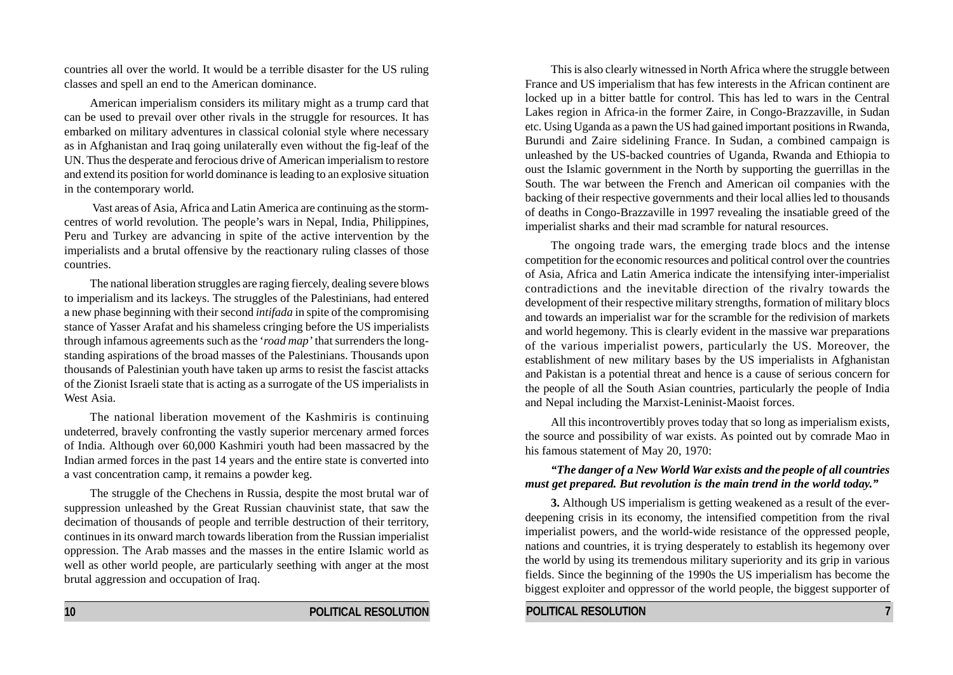countries all over the world. It would be a terrible disaster for the US ruling classes and spell an end to the American dominance.

American imperialism considers its military might as a trump card that can be used to prevail over other rivals in the struggle for resources. It has embarked on military adventures in classical colonial style where necessary as in Afghanistan and Iraq going unilaterally even without the fig-leaf of the UN. Thus the desperate and ferocious drive of American imperialism to restore and extend its position for world dominance is leading to an explosive situation in the contemporary world.

 Vast areas of Asia, Africa and Latin America are continuing as the stormcentres of world revolution. The people's wars in Nepal, India, Philippines, Peru and Turkey are advancing in spite of the active intervention by the imperialists and a brutal offensive by the reactionary ruling classes of those countries.

The national liberation struggles are raging fiercely, dealing severe blows to imperialism and its lackeys. The struggles of the Palestinians, had entered a new phase beginning with their second *intifada* in spite of the compromising stance of Yasser Arafat and his shameless cringing before the US imperialists through infamous agreements such as the '*road map'* that surrenders the longstanding aspirations of the broad masses of the Palestinians. Thousands upon thousands of Palestinian youth have taken up arms to resist the fascist attacks of the Zionist Israeli state that is acting as a surrogate of the US imperialists in West Asia.

The national liberation movement of the Kashmiris is continuing undeterred, bravely confronting the vastly superior mercenary armed forces of India. Although over 60,000 Kashmiri youth had been massacred by the Indian armed forces in the past 14 years and the entire state is converted into a vast concentration camp, it remains a powder keg.

The struggle of the Chechens in Russia, despite the most brutal war of suppression unleashed by the Great Russian chauvinist state, that saw the decimation of thousands of people and terrible destruction of their territory, continues in its onward march towards liberation from the Russian imperialist oppression. The Arab masses and the masses in the entire Islamic world as well as other world people, are particularly seething with anger at the most brutal aggression and occupation of Iraq.

This is also clearly witnessed in North Africa where the struggle between France and US imperialism that has few interests in the African continent are locked up in a bitter battle for control. This has led to wars in the Central Lakes region in Africa-in the former Zaire, in Congo-Brazzaville, in Sudan etc. Using Uganda as a pawn the US had gained important positions in Rwanda, Burundi and Zaire sidelining France. In Sudan, a combined campaign is unleashed by the US-backed countries of Uganda, Rwanda and Ethiopia to oust the Islamic government in the North by supporting the guerrillas in the South. The war between the French and American oil companies with the backing of their respective governments and their local allies led to thousands of deaths in Congo-Brazzaville in 1997 revealing the insatiable greed of the imperialist sharks and their mad scramble for natural resources.

The ongoing trade wars, the emerging trade blocs and the intense competition for the economic resources and political control over the countries of Asia, Africa and Latin America indicate the intensifying inter-imperialist contradictions and the inevitable direction of the rivalry towards the development of their respective military strengths, formation of military blocs and towards an imperialist war for the scramble for the redivision of markets and world hegemony. This is clearly evident in the massive war preparations of the various imperialist powers, particularly the US. Moreover, the establishment of new military bases by the US imperialists in Afghanistan and Pakistan is a potential threat and hence is a cause of serious concern for the people of all the South Asian countries, particularly the people of India and Nepal including the Marxist-Leninist-Maoist forces.

All this incontrovertibly proves today that so long as imperialism exists, the source and possibility of war exists. As pointed out by comrade Mao in his famous statement of May 20, 1970:

#### *"The danger of a New World War exists and the people of all countries must get prepared. But revolution is the main trend in the world today."*

**3.** Although US imperialism is getting weakened as a result of the everdeepening crisis in its economy, the intensified competition from the rival imperialist powers, and the world-wide resistance of the oppressed people, nations and countries, it is trying desperately to establish its hegemony over the world by using its tremendous military superiority and its grip in various fields. Since the beginning of the 1990s the US imperialism has become the biggest exploiter and oppressor of the world people, the biggest supporter of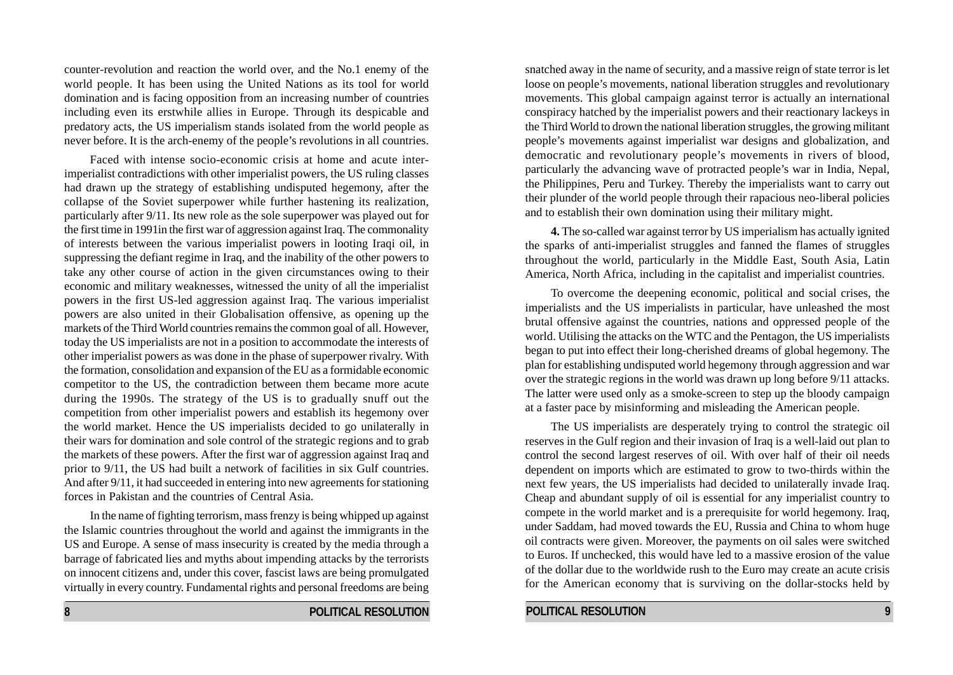counter-revolution and reaction the world over, and the No.1 enemy of the world people. It has been using the United Nations as its tool for world domination and is facing opposition from an increasing number of countries including even its erstwhile allies in Europe. Through its despicable and predatory acts, the US imperialism stands isolated from the world people as never before. It is the arch-enemy of the people's revolutions in all countries.

Faced with intense socio-economic crisis at home and acute interimperialist contradictions with other imperialist powers, the US ruling classes had drawn up the strategy of establishing undisputed hegemony, after the collapse of the Soviet superpower while further hastening its realization, particularly after 9/11. Its new role as the sole superpower was played out for the first time in 1991in the first war of aggression against Iraq. The commonality of interests between the various imperialist powers in looting Iraqi oil, in suppressing the defiant regime in Iraq, and the inability of the other powers to take any other course of action in the given circumstances owing to their economic and military weaknesses, witnessed the unity of all the imperialist powers in the first US-led aggression against Iraq. The various imperialist powers are also united in their Globalisation offensive, as opening up the markets of the Third World countries remains the common goal of all. However, today the US imperialists are not in a position to accommodate the interests of other imperialist powers as was done in the phase of superpower rivalry. With the formation, consolidation and expansion of the EU as a formidable economic competitor to the US, the contradiction between them became more acute during the 1990s. The strategy of the US is to gradually snuff out the competition from other imperialist powers and establish its hegemony over the world market. Hence the US imperialists decided to go unilaterally in their wars for domination and sole control of the strategic regions and to grab the markets of these powers. After the first war of aggression against Iraq and prior to 9/11, the US had built a network of facilities in six Gulf countries. And after 9/11, it had succeeded in entering into new agreements for stationing forces in Pakistan and the countries of Central Asia.

In the name of fighting terrorism, mass frenzy is being whipped up against the Islamic countries throughout the world and against the immigrants in the US and Europe. A sense of mass insecurity is created by the media through a barrage of fabricated lies and myths about impending attacks by the terrorists on innocent citizens and, under this cover, fascist laws are being promulgated virtually in every country. Fundamental rights and personal freedoms are being

**8 POLITICAL RESOLUTION** 

snatched away in the name of security, and a massive reign of state terror is let loose on people's movements, national liberation struggles and revolutionary movements. This global campaign against terror is actually an international conspiracy hatched by the imperialist powers and their reactionary lackeys in the Third World to drown the national liberation struggles, the growing militant people's movements against imperialist war designs and globalization, and democratic and revolutionary people's movements in rivers of blood, particularly the advancing wave of protracted people's war in India, Nepal, the Philippines, Peru and Turkey. Thereby the imperialists want to carry out their plunder of the world people through their rapacious neo-liberal policies and to establish their own domination using their military might.

**4.** The so-called war against terror by US imperialism has actually ignited the sparks of anti-imperialist struggles and fanned the flames of struggles throughout the world, particularly in the Middle East, South Asia, Latin America, North Africa, including in the capitalist and imperialist countries.

To overcome the deepening economic, political and social crises, the imperialists and the US imperialists in particular, have unleashed the most brutal offensive against the countries, nations and oppressed people of the world. Utilising the attacks on the WTC and the Pentagon, the US imperialists began to put into effect their long-cherished dreams of global hegemony. The plan for establishing undisputed world hegemony through aggression and war over the strategic regions in the world was drawn up long before 9/11 attacks. The latter were used only as a smoke-screen to step up the bloody campaign at a faster pace by misinforming and misleading the American people.

The US imperialists are desperately trying to control the strategic oil reserves in the Gulf region and their invasion of Iraq is a well-laid out plan to control the second largest reserves of oil. With over half of their oil needs dependent on imports which are estimated to grow to two-thirds within the next few years, the US imperialists had decided to unilaterally invade Iraq. Cheap and abundant supply of oil is essential for any imperialist country to compete in the world market and is a prerequisite for world hegemony. Iraq, under Saddam, had moved towards the EU, Russia and China to whom huge oil contracts were given. Moreover, the payments on oil sales were switched to Euros. If unchecked, this would have led to a massive erosion of the value of the dollar due to the worldwide rush to the Euro may create an acute crisis for the American economy that is surviving on the dollar-stocks held by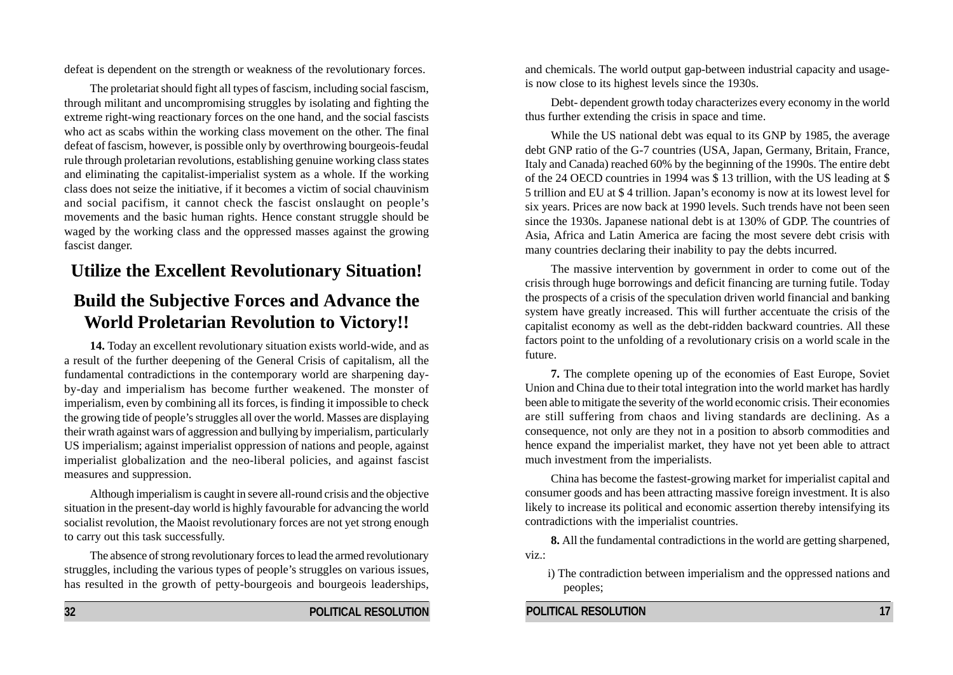defeat is dependent on the strength or weakness of the revolutionary forces.

The proletariat should fight all types of fascism, including social fascism, through militant and uncompromising struggles by isolating and fighting the extreme right-wing reactionary forces on the one hand, and the social fascists who act as scabs within the working class movement on the other. The final defeat of fascism, however, is possible only by overthrowing bourgeois-feudal rule through proletarian revolutions, establishing genuine working class states and eliminating the capitalist-imperialist system as a whole. If the working class does not seize the initiative, if it becomes a victim of social chauvinism and social pacifism, it cannot check the fascist onslaught on people's movements and the basic human rights. Hence constant struggle should be waged by the working class and the oppressed masses against the growing fascist danger.

# **Utilize the Excellent Revolutionary Situation!**

# **Build the Subjective Forces and Advance the World Proletarian Revolution to Victory!!**

**14.** Today an excellent revolutionary situation exists world-wide, and as a result of the further deepening of the General Crisis of capitalism, all the fundamental contradictions in the contemporary world are sharpening dayby-day and imperialism has become further weakened. The monster of imperialism, even by combining all its forces, is finding it impossible to check the growing tide of people's struggles all over the world. Masses are displaying their wrath against wars of aggression and bullying by imperialism, particularly US imperialism; against imperialist oppression of nations and people, against imperialist globalization and the neo-liberal policies, and against fascist measures and suppression.

Although imperialism is caught in severe all-round crisis and the objective situation in the present-day world is highly favourable for advancing the world socialist revolution, the Maoist revolutionary forces are not yet strong enough to carry out this task successfully.

The absence of strong revolutionary forces to lead the armed revolutionary struggles, including the various types of people's struggles on various issues, has resulted in the growth of petty-bourgeois and bourgeois leaderships,

and chemicals. The world output gap-between industrial capacity and usageis now close to its highest levels since the 1930s.

Debt- dependent growth today characterizes every economy in the world thus further extending the crisis in space and time.

While the US national debt was equal to its GNP by 1985, the average debt GNP ratio of the G-7 countries (USA, Japan, Germany, Britain, France, Italy and Canada) reached 60% by the beginning of the 1990s. The entire debt of the 24 OECD countries in 1994 was \$ 13 trillion, with the US leading at \$ 5 trillion and EU at \$ 4 trillion. Japan's economy is now at its lowest level for six years. Prices are now back at 1990 levels. Such trends have not been seen since the 1930s. Japanese national debt is at 130% of GDP. The countries of Asia, Africa and Latin America are facing the most severe debt crisis with many countries declaring their inability to pay the debts incurred.

The massive intervention by government in order to come out of the crisis through huge borrowings and deficit financing are turning futile. Today the prospects of a crisis of the speculation driven world financial and banking system have greatly increased. This will further accentuate the crisis of the capitalist economy as well as the debt-ridden backward countries. All these factors point to the unfolding of a revolutionary crisis on a world scale in the future.

**7.** The complete opening up of the economies of East Europe, Soviet Union and China due to their total integration into the world market has hardly been able to mitigate the severity of the world economic crisis. Their economies are still suffering from chaos and living standards are declining. As a consequence, not only are they not in a position to absorb commodities and hence expand the imperialist market, they have not yet been able to attract much investment from the imperialists.

China has become the fastest-growing market for imperialist capital and consumer goods and has been attracting massive foreign investment. It is also likely to increase its political and economic assertion thereby intensifying its contradictions with the imperialist countries.

**8.** All the fundamental contradictions in the world are getting sharpened, viz.:

i) The contradiction between imperialism and the oppressed nations and peoples;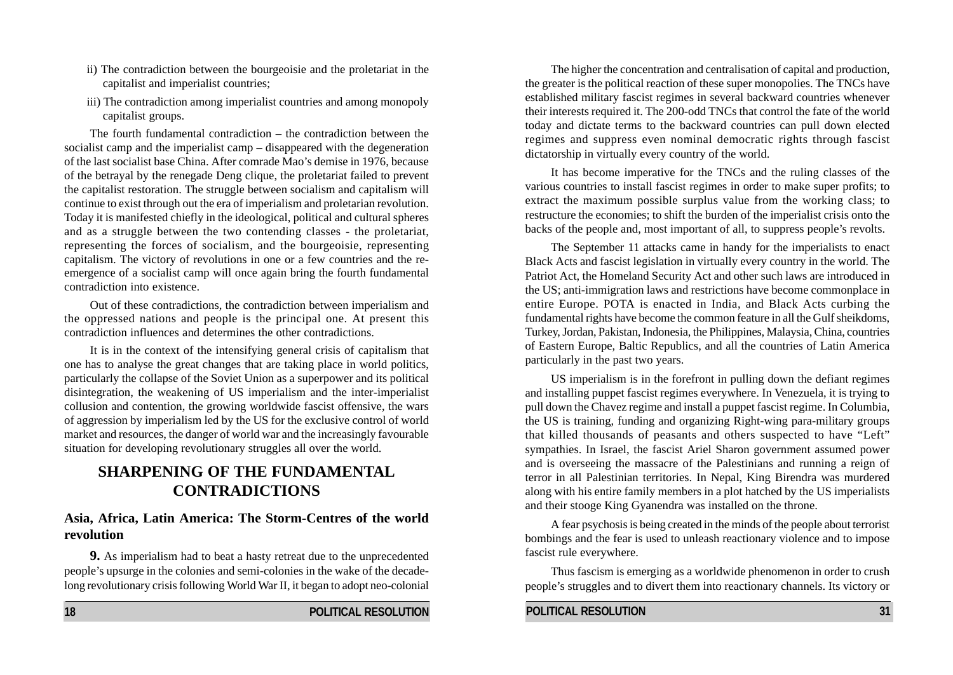- ii) The contradiction between the bourgeoisie and the proletariat in the capitalist and imperialist countries;
- iii) The contradiction among imperialist countries and among monopoly capitalist groups.

The fourth fundamental contradiction – the contradiction between the socialist camp and the imperialist camp – disappeared with the degeneration of the last socialist base China. After comrade Mao's demise in 1976, because of the betrayal by the renegade Deng clique, the proletariat failed to prevent the capitalist restoration. The struggle between socialism and capitalism will continue to exist through out the era of imperialism and proletarian revolution. Today it is manifested chiefly in the ideological, political and cultural spheres and as a struggle between the two contending classes - the proletariat, representing the forces of socialism, and the bourgeoisie, representing capitalism. The victory of revolutions in one or a few countries and the reemergence of a socialist camp will once again bring the fourth fundamental contradiction into existence.

Out of these contradictions, the contradiction between imperialism and the oppressed nations and people is the principal one. At present this contradiction influences and determines the other contradictions.

It is in the context of the intensifying general crisis of capitalism that one has to analyse the great changes that are taking place in world politics, particularly the collapse of the Soviet Union as a superpower and its political disintegration, the weakening of US imperialism and the inter-imperialist collusion and contention, the growing worldwide fascist offensive, the wars of aggression by imperialism led by the US for the exclusive control of world market and resources, the danger of world war and the increasingly favourable situation for developing revolutionary struggles all over the world.

### **SHARPENING OF THE FUNDAMENTAL CONTRADICTIONS**

#### **Asia, Africa, Latin America: The Storm-Centres of the world revolution**

**9.** As imperialism had to beat a hasty retreat due to the unprecedented people's upsurge in the colonies and semi-colonies in the wake of the decadelong revolutionary crisis following World War II, it began to adopt neo-colonial

The higher the concentration and centralisation of capital and production, the greater is the political reaction of these super monopolies. The TNCs have established military fascist regimes in several backward countries whenever their interests required it. The 200-odd TNCs that control the fate of the world today and dictate terms to the backward countries can pull down elected regimes and suppress even nominal democratic rights through fascist dictatorship in virtually every country of the world.

It has become imperative for the TNCs and the ruling classes of the various countries to install fascist regimes in order to make super profits; to extract the maximum possible surplus value from the working class; to restructure the economies; to shift the burden of the imperialist crisis onto the backs of the people and, most important of all, to suppress people's revolts.

The September 11 attacks came in handy for the imperialists to enact Black Acts and fascist legislation in virtually every country in the world. The Patriot Act, the Homeland Security Act and other such laws are introduced in the US; anti-immigration laws and restrictions have become commonplace in entire Europe. POTA is enacted in India, and Black Acts curbing the fundamental rights have become the common feature in all the Gulf sheikdoms, Turkey, Jordan, Pakistan, Indonesia, the Philippines, Malaysia, China, countries of Eastern Europe, Baltic Republics, and all the countries of Latin America particularly in the past two years.

US imperialism is in the forefront in pulling down the defiant regimes and installing puppet fascist regimes everywhere. In Venezuela, it is trying to pull down the Chavez regime and install a puppet fascist regime. In Columbia, the US is training, funding and organizing Right-wing para-military groups that killed thousands of peasants and others suspected to have "Left" sympathies. In Israel, the fascist Ariel Sharon government assumed power and is overseeing the massacre of the Palestinians and running a reign of terror in all Palestinian territories. In Nepal, King Birendra was murdered along with his entire family members in a plot hatched by the US imperialists and their stooge King Gyanendra was installed on the throne.

A fear psychosis is being created in the minds of the people about terrorist bombings and the fear is used to unleash reactionary violence and to impose fascist rule everywhere.

Thus fascism is emerging as a worldwide phenomenon in order to crush people's struggles and to divert them into reactionary channels. Its victory or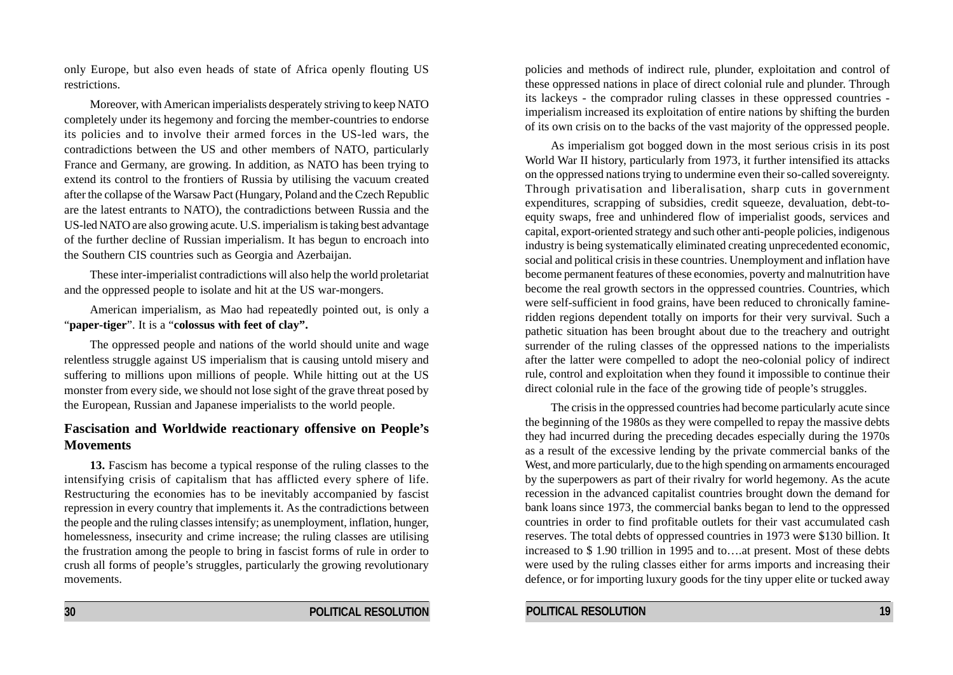only Europe, but also even heads of state of Africa openly flouting US restrictions.

Moreover, with American imperialists desperately striving to keep NATO completely under its hegemony and forcing the member-countries to endorse its policies and to involve their armed forces in the US-led wars, the contradictions between the US and other members of NATO, particularly France and Germany, are growing. In addition, as NATO has been trying to extend its control to the frontiers of Russia by utilising the vacuum created after the collapse of the Warsaw Pact (Hungary, Poland and the Czech Republic are the latest entrants to NATO), the contradictions between Russia and the US-led NATO are also growing acute. U.S. imperialism is taking best advantage of the further decline of Russian imperialism. It has begun to encroach into the Southern CIS countries such as Georgia and Azerbaijan.

These inter-imperialist contradictions will also help the world proletariat and the oppressed people to isolate and hit at the US war-mongers.

American imperialism, as Mao had repeatedly pointed out, is only a "**paper-tiger**". It is a "**colossus with feet of clay".**

The oppressed people and nations of the world should unite and wage relentless struggle against US imperialism that is causing untold misery and suffering to millions upon millions of people. While hitting out at the US monster from every side, we should not lose sight of the grave threat posed by the European, Russian and Japanese imperialists to the world people.

#### **Fascisation and Worldwide reactionary offensive on People's Movements**

**13.** Fascism has become a typical response of the ruling classes to the intensifying crisis of capitalism that has afflicted every sphere of life. Restructuring the economies has to be inevitably accompanied by fascist repression in every country that implements it. As the contradictions between the people and the ruling classes intensify; as unemployment, inflation, hunger, homelessness, insecurity and crime increase; the ruling classes are utilising the frustration among the people to bring in fascist forms of rule in order to crush all forms of people's struggles, particularly the growing revolutionary movements.

policies and methods of indirect rule, plunder, exploitation and control of these oppressed nations in place of direct colonial rule and plunder. Through its lackeys - the comprador ruling classes in these oppressed countries imperialism increased its exploitation of entire nations by shifting the burden of its own crisis on to the backs of the vast majority of the oppressed people.

As imperialism got bogged down in the most serious crisis in its post World War II history, particularly from 1973, it further intensified its attacks on the oppressed nations trying to undermine even their so-called sovereignty. Through privatisation and liberalisation, sharp cuts in government expenditures, scrapping of subsidies, credit squeeze, devaluation, debt-toequity swaps, free and unhindered flow of imperialist goods, services and capital, export-oriented strategy and such other anti-people policies, indigenous industry is being systematically eliminated creating unprecedented economic, social and political crisis in these countries. Unemployment and inflation have become permanent features of these economies, poverty and malnutrition have become the real growth sectors in the oppressed countries. Countries, which were self-sufficient in food grains, have been reduced to chronically famineridden regions dependent totally on imports for their very survival. Such a pathetic situation has been brought about due to the treachery and outright surrender of the ruling classes of the oppressed nations to the imperialists after the latter were compelled to adopt the neo-colonial policy of indirect rule, control and exploitation when they found it impossible to continue their direct colonial rule in the face of the growing tide of people's struggles.

The crisis in the oppressed countries had become particularly acute since the beginning of the 1980s as they were compelled to repay the massive debts they had incurred during the preceding decades especially during the 1970s as a result of the excessive lending by the private commercial banks of the West, and more particularly, due to the high spending on armaments encouraged by the superpowers as part of their rivalry for world hegemony. As the acute recession in the advanced capitalist countries brought down the demand for bank loans since 1973, the commercial banks began to lend to the oppressed countries in order to find profitable outlets for their vast accumulated cash reserves. The total debts of oppressed countries in 1973 were \$130 billion. It increased to \$ 1.90 trillion in 1995 and to….at present. Most of these debts were used by the ruling classes either for arms imports and increasing their defence, or for importing luxury goods for the tiny upper elite or tucked away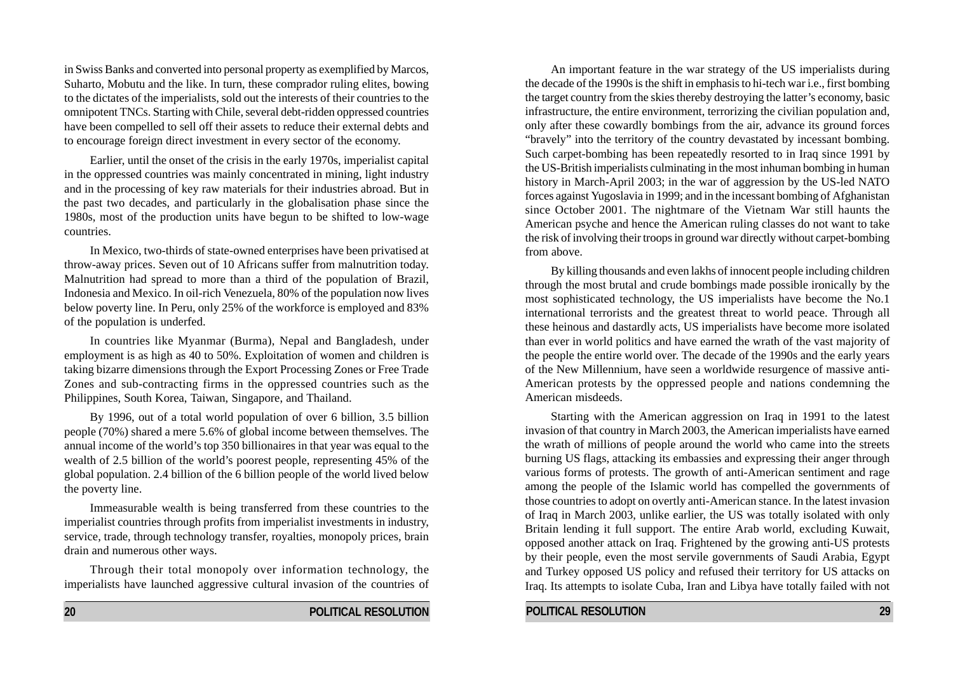in Swiss Banks and converted into personal property as exemplified by Marcos, Suharto, Mobutu and the like. In turn, these comprador ruling elites, bowing to the dictates of the imperialists, sold out the interests of their countries to the omnipotent TNCs. Starting with Chile, several debt-ridden oppressed countries have been compelled to sell off their assets to reduce their external debts and to encourage foreign direct investment in every sector of the economy.

Earlier, until the onset of the crisis in the early 1970s, imperialist capital in the oppressed countries was mainly concentrated in mining, light industry and in the processing of key raw materials for their industries abroad. But in the past two decades, and particularly in the globalisation phase since the 1980s, most of the production units have begun to be shifted to low-wage countries.

In Mexico, two-thirds of state-owned enterprises have been privatised at throw-away prices. Seven out of 10 Africans suffer from malnutrition today. Malnutrition had spread to more than a third of the population of Brazil, Indonesia and Mexico. In oil-rich Venezuela, 80% of the population now lives below poverty line. In Peru, only 25% of the workforce is employed and 83% of the population is underfed.

In countries like Myanmar (Burma), Nepal and Bangladesh, under employment is as high as 40 to 50%. Exploitation of women and children is taking bizarre dimensions through the Export Processing Zones or Free Trade Zones and sub-contracting firms in the oppressed countries such as the Philippines, South Korea, Taiwan, Singapore, and Thailand.

By 1996, out of a total world population of over 6 billion, 3.5 billion people (70%) shared a mere 5.6% of global income between themselves. The annual income of the world's top 350 billionaires in that year was equal to the wealth of 2.5 billion of the world's poorest people, representing 45% of the global population. 2.4 billion of the 6 billion people of the world lived below the poverty line.

Immeasurable wealth is being transferred from these countries to the imperialist countries through profits from imperialist investments in industry, service, trade, through technology transfer, royalties, monopoly prices, brain drain and numerous other ways.

Through their total monopoly over information technology, the imperialists have launched aggressive cultural invasion of the countries of

An important feature in the war strategy of the US imperialists during the decade of the 1990s is the shift in emphasis to hi-tech war i.e., first bombing the target country from the skies thereby destroying the latter's economy, basic infrastructure, the entire environment, terrorizing the civilian population and, only after these cowardly bombings from the air, advance its ground forces "bravely" into the territory of the country devastated by incessant bombing. Such carpet-bombing has been repeatedly resorted to in Iraq since 1991 by the US-British imperialists culminating in the most inhuman bombing in human history in March-April 2003; in the war of aggression by the US-led NATO forces against Yugoslavia in 1999; and in the incessant bombing of Afghanistan since October 2001. The nightmare of the Vietnam War still haunts the American psyche and hence the American ruling classes do not want to take the risk of involving their troops in ground war directly without carpet-bombing from above.

By killing thousands and even lakhs of innocent people including children through the most brutal and crude bombings made possible ironically by the most sophisticated technology, the US imperialists have become the No.1 international terrorists and the greatest threat to world peace. Through all these heinous and dastardly acts, US imperialists have become more isolated than ever in world politics and have earned the wrath of the vast majority of the people the entire world over. The decade of the 1990s and the early years of the New Millennium, have seen a worldwide resurgence of massive anti-American protests by the oppressed people and nations condemning the American misdeeds.

Starting with the American aggression on Iraq in 1991 to the latest invasion of that country in March 2003, the American imperialists have earned the wrath of millions of people around the world who came into the streets burning US flags, attacking its embassies and expressing their anger through various forms of protests. The growth of anti-American sentiment and rage among the people of the Islamic world has compelled the governments of those countries to adopt on overtly anti-American stance. In the latest invasion of Iraq in March 2003, unlike earlier, the US was totally isolated with only Britain lending it full support. The entire Arab world, excluding Kuwait, opposed another attack on Iraq. Frightened by the growing anti-US protests by their people, even the most servile governments of Saudi Arabia, Egypt and Turkey opposed US policy and refused their territory for US attacks on Iraq. Its attempts to isolate Cuba, Iran and Libya have totally failed with not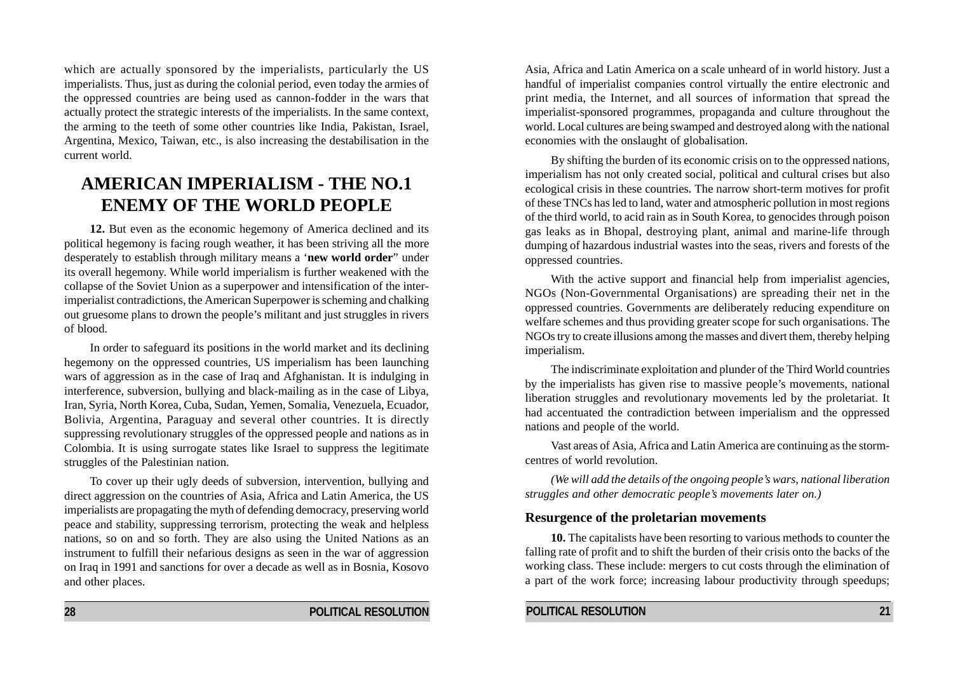which are actually sponsored by the imperialists, particularly the US imperialists. Thus, just as during the colonial period, even today the armies of the oppressed countries are being used as cannon-fodder in the wars that actually protect the strategic interests of the imperialists. In the same context, the arming to the teeth of some other countries like India, Pakistan, Israel, Argentina, Mexico, Taiwan, etc., is also increasing the destabilisation in the current world.

## **AMERICAN IMPERIALISM - THE NO.1 ENEMY OF THE WORLD PEOPLE**

**12.** But even as the economic hegemony of America declined and its political hegemony is facing rough weather, it has been striving all the more desperately to establish through military means a '**new world order**" under its overall hegemony. While world imperialism is further weakened with the collapse of the Soviet Union as a superpower and intensification of the interimperialist contradictions, the American Superpower is scheming and chalking out gruesome plans to drown the people's militant and just struggles in rivers of blood.

In order to safeguard its positions in the world market and its declining hegemony on the oppressed countries, US imperialism has been launching wars of aggression as in the case of Iraq and Afghanistan. It is indulging in interference, subversion, bullying and black-mailing as in the case of Libya, Iran, Syria, North Korea, Cuba, Sudan, Yemen, Somalia, Venezuela, Ecuador, Bolivia, Argentina, Paraguay and several other countries. It is directly suppressing revolutionary struggles of the oppressed people and nations as in Colombia. It is using surrogate states like Israel to suppress the legitimate struggles of the Palestinian nation.

To cover up their ugly deeds of subversion, intervention, bullying and direct aggression on the countries of Asia, Africa and Latin America, the US imperialists are propagating the myth of defending democracy, preserving world peace and stability, suppressing terrorism, protecting the weak and helpless nations, so on and so forth. They are also using the United Nations as an instrument to fulfill their nefarious designs as seen in the war of aggression on Iraq in 1991 and sanctions for over a decade as well as in Bosnia, Kosovo and other places.

Asia, Africa and Latin America on a scale unheard of in world history. Just a handful of imperialist companies control virtually the entire electronic and print media, the Internet, and all sources of information that spread the imperialist-sponsored programmes, propaganda and culture throughout the world. Local cultures are being swamped and destroyed along with the national economies with the onslaught of globalisation.

By shifting the burden of its economic crisis on to the oppressed nations, imperialism has not only created social, political and cultural crises but also ecological crisis in these countries. The narrow short-term motives for profit of these TNCs has led to land, water and atmospheric pollution in most regions of the third world, to acid rain as in South Korea, to genocides through poison gas leaks as in Bhopal, destroying plant, animal and marine-life through dumping of hazardous industrial wastes into the seas, rivers and forests of the oppressed countries.

With the active support and financial help from imperialist agencies, NGOs (Non-Governmental Organisations) are spreading their net in the oppressed countries. Governments are deliberately reducing expenditure on welfare schemes and thus providing greater scope for such organisations. The NGOs try to create illusions among the masses and divert them, thereby helping imperialism.

The indiscriminate exploitation and plunder of the Third World countries by the imperialists has given rise to massive people's movements, national liberation struggles and revolutionary movements led by the proletariat. It had accentuated the contradiction between imperialism and the oppressed nations and people of the world.

Vast areas of Asia, Africa and Latin America are continuing as the stormcentres of world revolution.

*(We will add the details of the ongoing people's wars, national liberation struggles and other democratic people's movements later on.)*

#### **Resurgence of the proletarian movements**

**10.** The capitalists have been resorting to various methods to counter the falling rate of profit and to shift the burden of their crisis onto the backs of the working class. These include: mergers to cut costs through the elimination of a part of the work force; increasing labour productivity through speedups;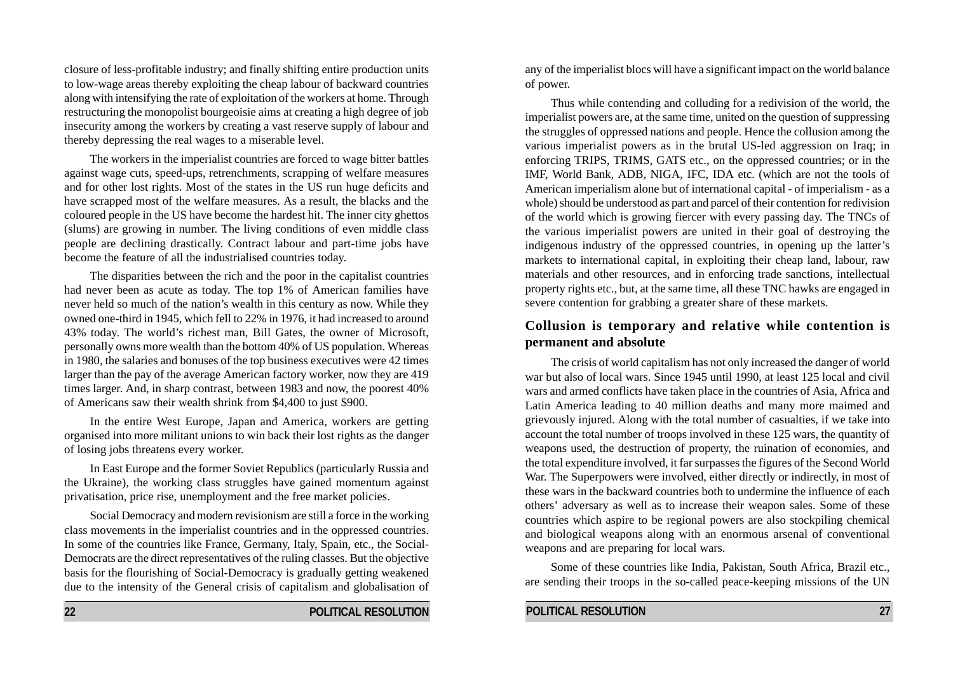closure of less-profitable industry; and finally shifting entire production units to low-wage areas thereby exploiting the cheap labour of backward countries along with intensifying the rate of exploitation of the workers at home. Through restructuring the monopolist bourgeoisie aims at creating a high degree of job insecurity among the workers by creating a vast reserve supply of labour and thereby depressing the real wages to a miserable level.

The workers in the imperialist countries are forced to wage bitter battles against wage cuts, speed-ups, retrenchments, scrapping of welfare measures and for other lost rights. Most of the states in the US run huge deficits and have scrapped most of the welfare measures. As a result, the blacks and the coloured people in the US have become the hardest hit. The inner city ghettos (slums) are growing in number. The living conditions of even middle class people are declining drastically. Contract labour and part-time jobs have become the feature of all the industrialised countries today.

The disparities between the rich and the poor in the capitalist countries had never been as acute as today. The top 1% of American families have never held so much of the nation's wealth in this century as now. While they owned one-third in 1945, which fell to 22% in 1976, it had increased to around 43% today. The world's richest man, Bill Gates, the owner of Microsoft, personally owns more wealth than the bottom 40% of US population. Whereas in 1980, the salaries and bonuses of the top business executives were 42 times larger than the pay of the average American factory worker, now they are 419 times larger. And, in sharp contrast, between 1983 and now, the poorest 40% of Americans saw their wealth shrink from \$4,400 to just \$900.

In the entire West Europe, Japan and America, workers are getting organised into more militant unions to win back their lost rights as the danger of losing jobs threatens every worker.

In East Europe and the former Soviet Republics (particularly Russia and the Ukraine), the working class struggles have gained momentum against privatisation, price rise, unemployment and the free market policies.

Social Democracy and modern revisionism are still a force in the working class movements in the imperialist countries and in the oppressed countries. In some of the countries like France, Germany, Italy, Spain, etc., the Social-Democrats are the direct representatives of the ruling classes. But the objective basis for the flourishing of Social-Democracy is gradually getting weakened due to the intensity of the General crisis of capitalism and globalisation of any of the imperialist blocs will have a significant impact on the world balance of power.

Thus while contending and colluding for a redivision of the world, the imperialist powers are, at the same time, united on the question of suppressing the struggles of oppressed nations and people. Hence the collusion among the various imperialist powers as in the brutal US-led aggression on Iraq; in enforcing TRIPS, TRIMS, GATS etc., on the oppressed countries; or in the IMF, World Bank, ADB, NIGA, IFC, IDA etc. (which are not the tools of American imperialism alone but of international capital - of imperialism - as a whole) should be understood as part and parcel of their contention for redivision of the world which is growing fiercer with every passing day. The TNCs of the various imperialist powers are united in their goal of destroying the indigenous industry of the oppressed countries, in opening up the latter's markets to international capital, in exploiting their cheap land, labour, raw materials and other resources, and in enforcing trade sanctions, intellectual property rights etc., but, at the same time, all these TNC hawks are engaged in severe contention for grabbing a greater share of these markets.

#### **Collusion is temporary and relative while contention is permanent and absolute**

The crisis of world capitalism has not only increased the danger of world war but also of local wars. Since 1945 until 1990, at least 125 local and civil wars and armed conflicts have taken place in the countries of Asia, Africa and Latin America leading to 40 million deaths and many more maimed and grievously injured. Along with the total number of casualties, if we take into account the total number of troops involved in these 125 wars, the quantity of weapons used, the destruction of property, the ruination of economies, and the total expenditure involved, it far surpasses the figures of the Second World War. The Superpowers were involved, either directly or indirectly, in most of these wars in the backward countries both to undermine the influence of each others' adversary as well as to increase their weapon sales. Some of these countries which aspire to be regional powers are also stockpiling chemical and biological weapons along with an enormous arsenal of conventional weapons and are preparing for local wars.

Some of these countries like India, Pakistan, South Africa, Brazil etc., are sending their troops in the so-called peace-keeping missions of the UN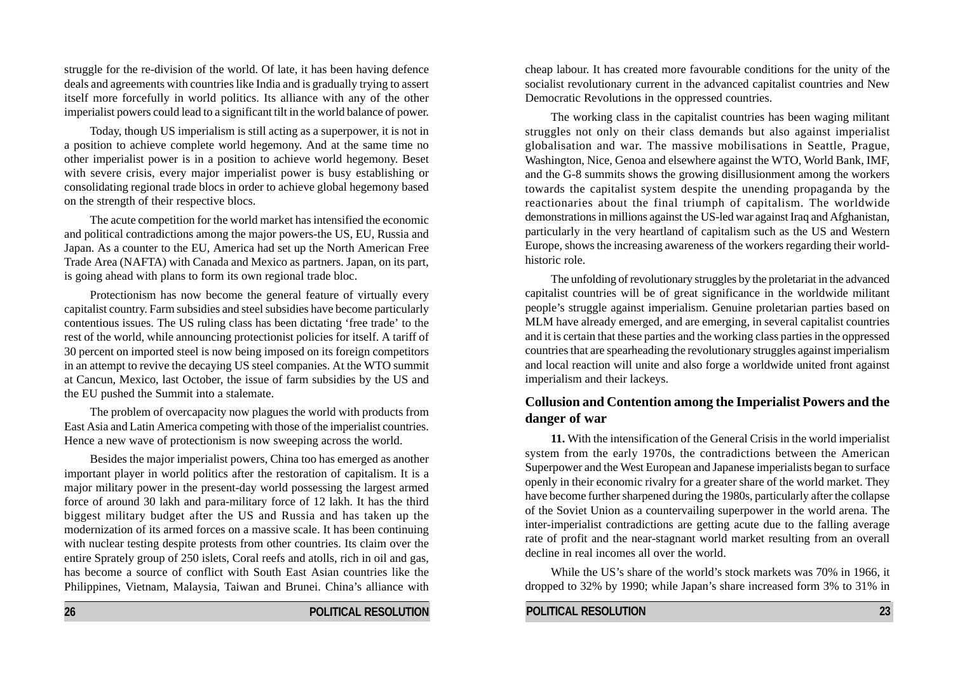struggle for the re-division of the world. Of late, it has been having defence deals and agreements with countries like India and is gradually trying to assert itself more forcefully in world politics. Its alliance with any of the other imperialist powers could lead to a significant tilt in the world balance of power.

Today, though US imperialism is still acting as a superpower, it is not in a position to achieve complete world hegemony. And at the same time no other imperialist power is in a position to achieve world hegemony. Beset with severe crisis, every major imperialist power is busy establishing or consolidating regional trade blocs in order to achieve global hegemony based on the strength of their respective blocs.

The acute competition for the world market has intensified the economic and political contradictions among the major powers-the US, EU, Russia and Japan. As a counter to the EU, America had set up the North American Free Trade Area (NAFTA) with Canada and Mexico as partners. Japan, on its part, is going ahead with plans to form its own regional trade bloc.

Protectionism has now become the general feature of virtually every capitalist country. Farm subsidies and steel subsidies have become particularly contentious issues. The US ruling class has been dictating 'free trade' to the rest of the world, while announcing protectionist policies for itself. A tariff of 30 percent on imported steel is now being imposed on its foreign competitors in an attempt to revive the decaying US steel companies. At the WTO summit at Cancun, Mexico, last October, the issue of farm subsidies by the US and the EU pushed the Summit into a stalemate.

The problem of overcapacity now plagues the world with products from East Asia and Latin America competing with those of the imperialist countries. Hence a new wave of protectionism is now sweeping across the world.

Besides the major imperialist powers, China too has emerged as another important player in world politics after the restoration of capitalism. It is a major military power in the present-day world possessing the largest armed force of around 30 lakh and para-military force of 12 lakh. It has the third biggest military budget after the US and Russia and has taken up the modernization of its armed forces on a massive scale. It has been continuing with nuclear testing despite protests from other countries. Its claim over the entire Sprately group of 250 islets, Coral reefs and atolls, rich in oil and gas, has become a source of conflict with South East Asian countries like the Philippines, Vietnam, Malaysia, Taiwan and Brunei. China's alliance with

cheap labour. It has created more favourable conditions for the unity of the socialist revolutionary current in the advanced capitalist countries and New Democratic Revolutions in the oppressed countries.

The working class in the capitalist countries has been waging militant struggles not only on their class demands but also against imperialist globalisation and war. The massive mobilisations in Seattle, Prague, Washington, Nice, Genoa and elsewhere against the WTO, World Bank, IMF, and the G-8 summits shows the growing disillusionment among the workers towards the capitalist system despite the unending propaganda by the reactionaries about the final triumph of capitalism. The worldwide demonstrations in millions against the US-led war against Iraq and Afghanistan, particularly in the very heartland of capitalism such as the US and Western Europe, shows the increasing awareness of the workers regarding their worldhistoric role.

The unfolding of revolutionary struggles by the proletariat in the advanced capitalist countries will be of great significance in the worldwide militant people's struggle against imperialism. Genuine proletarian parties based on MLM have already emerged, and are emerging, in several capitalist countries and it is certain that these parties and the working class parties in the oppressed countries that are spearheading the revolutionary struggles against imperialism and local reaction will unite and also forge a worldwide united front against imperialism and their lackeys.

#### **Collusion and Contention among the Imperialist Powers and the danger of war**

**11.** With the intensification of the General Crisis in the world imperialist system from the early 1970s, the contradictions between the American Superpower and the West European and Japanese imperialists began to surface openly in their economic rivalry for a greater share of the world market. They have become further sharpened during the 1980s, particularly after the collapse of the Soviet Union as a countervailing superpower in the world arena. The inter-imperialist contradictions are getting acute due to the falling average rate of profit and the near-stagnant world market resulting from an overall decline in real incomes all over the world.

While the US's share of the world's stock markets was 70% in 1966, it dropped to 32% by 1990; while Japan's share increased form 3% to 31% in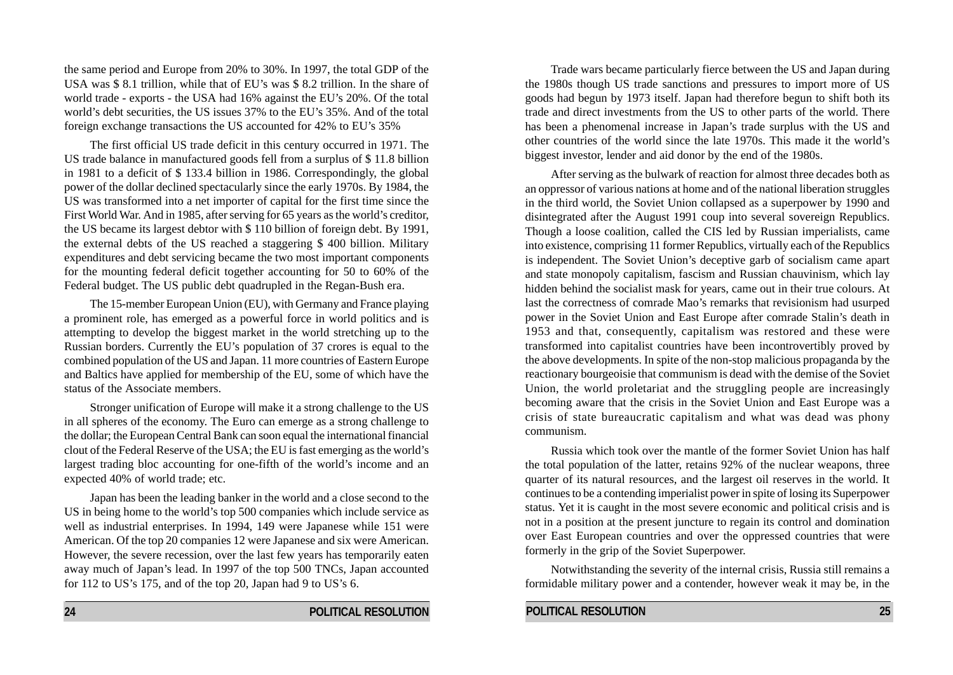the same period and Europe from 20% to 30%. In 1997, the total GDP of the USA was \$ 8.1 trillion, while that of EU's was \$ 8.2 trillion. In the share of world trade - exports - the USA had 16% against the EU's 20%. Of the total world's debt securities, the US issues 37% to the EU's 35%. And of the total foreign exchange transactions the US accounted for 42% to EU's 35%

The first official US trade deficit in this century occurred in 1971. The US trade balance in manufactured goods fell from a surplus of \$ 11.8 billion in 1981 to a deficit of \$ 133.4 billion in 1986. Correspondingly, the global power of the dollar declined spectacularly since the early 1970s. By 1984, the US was transformed into a net importer of capital for the first time since the First World War. And in 1985, after serving for 65 years as the world's creditor, the US became its largest debtor with \$ 110 billion of foreign debt. By 1991, the external debts of the US reached a staggering \$ 400 billion. Military expenditures and debt servicing became the two most important components for the mounting federal deficit together accounting for 50 to 60% of the Federal budget. The US public debt quadrupled in the Regan-Bush era.

The 15-member European Union (EU), with Germany and France playing a prominent role, has emerged as a powerful force in world politics and is attempting to develop the biggest market in the world stretching up to the Russian borders. Currently the EU's population of 37 crores is equal to the combined population of the US and Japan. 11 more countries of Eastern Europe and Baltics have applied for membership of the EU, some of which have the status of the Associate members.

Stronger unification of Europe will make it a strong challenge to the US in all spheres of the economy. The Euro can emerge as a strong challenge to the dollar; the European Central Bank can soon equal the international financial clout of the Federal Reserve of the USA; the EU is fast emerging as the world's largest trading bloc accounting for one-fifth of the world's income and an expected 40% of world trade; etc.

Japan has been the leading banker in the world and a close second to the US in being home to the world's top 500 companies which include service as well as industrial enterprises. In 1994, 149 were Japanese while 151 were American. Of the top 20 companies 12 were Japanese and six were American. However, the severe recession, over the last few years has temporarily eaten away much of Japan's lead. In 1997 of the top 500 TNCs, Japan accounted for 112 to US's 175, and of the top 20, Japan had 9 to US's 6.

Trade wars became particularly fierce between the US and Japan during the 1980s though US trade sanctions and pressures to import more of US goods had begun by 1973 itself. Japan had therefore begun to shift both its trade and direct investments from the US to other parts of the world. There has been a phenomenal increase in Japan's trade surplus with the US and other countries of the world since the late 1970s. This made it the world's biggest investor, lender and aid donor by the end of the 1980s.

After serving as the bulwark of reaction for almost three decades both as an oppressor of various nations at home and of the national liberation struggles in the third world, the Soviet Union collapsed as a superpower by 1990 and disintegrated after the August 1991 coup into several sovereign Republics. Though a loose coalition, called the CIS led by Russian imperialists, came into existence, comprising 11 former Republics, virtually each of the Republics is independent. The Soviet Union's deceptive garb of socialism came apart and state monopoly capitalism, fascism and Russian chauvinism, which lay hidden behind the socialist mask for years, came out in their true colours. At last the correctness of comrade Mao's remarks that revisionism had usurped power in the Soviet Union and East Europe after comrade Stalin's death in 1953 and that, consequently, capitalism was restored and these were transformed into capitalist countries have been incontrovertibly proved by the above developments. In spite of the non-stop malicious propaganda by the reactionary bourgeoisie that communism is dead with the demise of the Soviet Union, the world proletariat and the struggling people are increasingly becoming aware that the crisis in the Soviet Union and East Europe was a crisis of state bureaucratic capitalism and what was dead was phony communism.

Russia which took over the mantle of the former Soviet Union has half the total population of the latter, retains 92% of the nuclear weapons, three quarter of its natural resources, and the largest oil reserves in the world. It continues to be a contending imperialist power in spite of losing its Superpower status. Yet it is caught in the most severe economic and political crisis and is not in a position at the present juncture to regain its control and domination over East European countries and over the oppressed countries that were formerly in the grip of the Soviet Superpower.

Notwithstanding the severity of the internal crisis, Russia still remains a formidable military power and a contender, however weak it may be, in the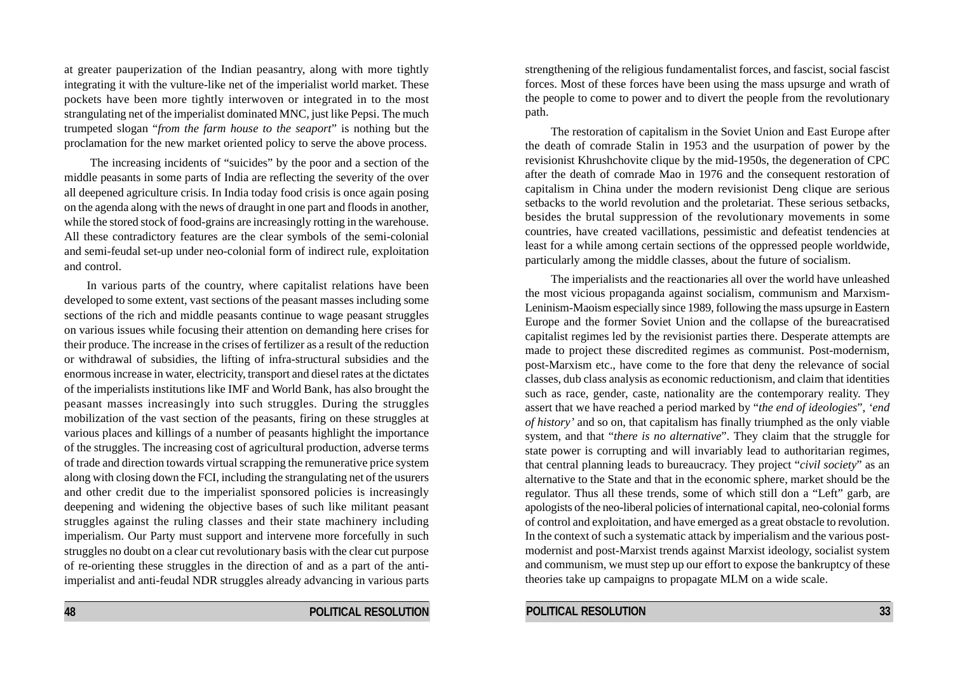at greater pauperization of the Indian peasantry, along with more tightly integrating it with the vulture-like net of the imperialist world market. These pockets have been more tightly interwoven or integrated in to the most strangulating net of the imperialist dominated MNC, just like Pepsi. The much trumpeted slogan "*from the farm house to the seaport*" is nothing but the proclamation for the new market oriented policy to serve the above process.

 The increasing incidents of "suicides" by the poor and a section of the middle peasants in some parts of India are reflecting the severity of the over all deepened agriculture crisis. In India today food crisis is once again posing on the agenda along with the news of draught in one part and floods in another, while the stored stock of food-grains are increasingly rotting in the warehouse. All these contradictory features are the clear symbols of the semi-colonial and semi-feudal set-up under neo-colonial form of indirect rule, exploitation and control.

In various parts of the country, where capitalist relations have been developed to some extent, vast sections of the peasant masses including some sections of the rich and middle peasants continue to wage peasant struggles on various issues while focusing their attention on demanding here crises for their produce. The increase in the crises of fertilizer as a result of the reduction or withdrawal of subsidies, the lifting of infra-structural subsidies and the enormous increase in water, electricity, transport and diesel rates at the dictates of the imperialists institutions like IMF and World Bank, has also brought the peasant masses increasingly into such struggles. During the struggles mobilization of the vast section of the peasants, firing on these struggles at various places and killings of a number of peasants highlight the importance of the struggles. The increasing cost of agricultural production, adverse terms of trade and direction towards virtual scrapping the remunerative price system along with closing down the FCI, including the strangulating net of the usurers and other credit due to the imperialist sponsored policies is increasingly deepening and widening the objective bases of such like militant peasant struggles against the ruling classes and their state machinery including imperialism. Our Party must support and intervene more forcefully in such struggles no doubt on a clear cut revolutionary basis with the clear cut purpose of re-orienting these struggles in the direction of and as a part of the antiimperialist and anti-feudal NDR struggles already advancing in various parts

**48 POLITICAL RESOLUTION**

strengthening of the religious fundamentalist forces, and fascist, social fascist forces. Most of these forces have been using the mass upsurge and wrath of the people to come to power and to divert the people from the revolutionary path.

The restoration of capitalism in the Soviet Union and East Europe after the death of comrade Stalin in 1953 and the usurpation of power by the revisionist Khrushchovite clique by the mid-1950s, the degeneration of CPC after the death of comrade Mao in 1976 and the consequent restoration of capitalism in China under the modern revisionist Deng clique are serious setbacks to the world revolution and the proletariat. These serious setbacks, besides the brutal suppression of the revolutionary movements in some countries, have created vacillations, pessimistic and defeatist tendencies at least for a while among certain sections of the oppressed people worldwide, particularly among the middle classes, about the future of socialism.

The imperialists and the reactionaries all over the world have unleashed the most vicious propaganda against socialism, communism and Marxism-Leninism-Maoism especially since 1989, following the mass upsurge in Eastern Europe and the former Soviet Union and the collapse of the bureacratised capitalist regimes led by the revisionist parties there. Desperate attempts are made to project these discredited regimes as communist. Post-modernism, post-Marxism etc., have come to the fore that deny the relevance of social classes, dub class analysis as economic reductionism, and claim that identities such as race, gender, caste, nationality are the contemporary reality. They assert that we have reached a period marked by "*the end of ideologies*", *'end of history'* and so on, that capitalism has finally triumphed as the only viable system, and that "*there is no alternative*". They claim that the struggle for state power is corrupting and will invariably lead to authoritarian regimes, that central planning leads to bureaucracy. They project "*civil society*" as an alternative to the State and that in the economic sphere, market should be the regulator. Thus all these trends, some of which still don a "Left" garb, are apologists of the neo-liberal policies of international capital, neo-colonial forms of control and exploitation, and have emerged as a great obstacle to revolution. In the context of such a systematic attack by imperialism and the various postmodernist and post-Marxist trends against Marxist ideology, socialist system and communism, we must step up our effort to expose the bankruptcy of these theories take up campaigns to propagate MLM on a wide scale.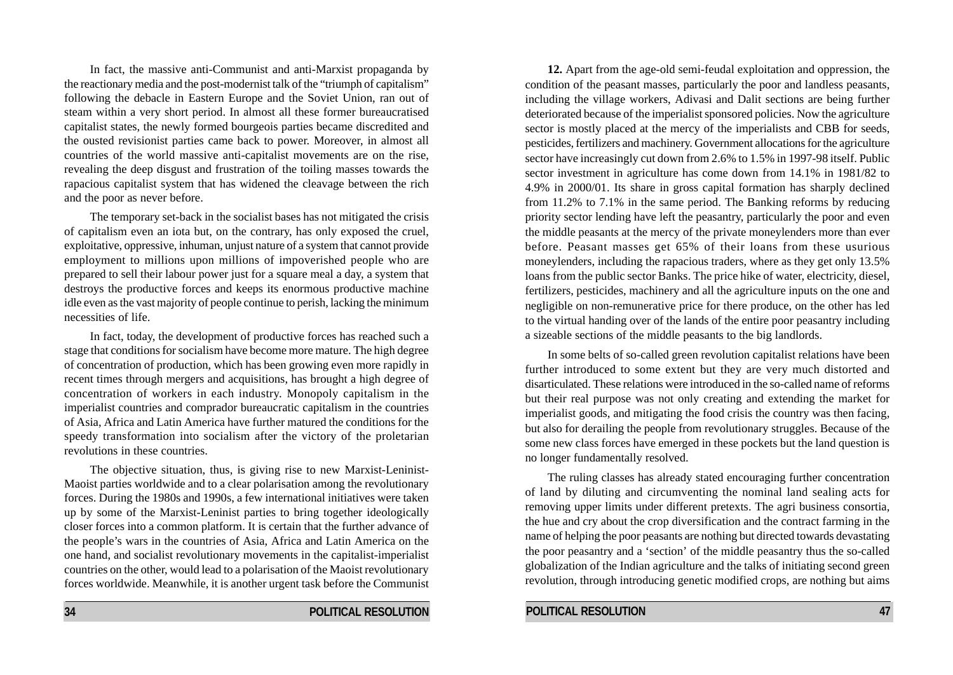In fact, the massive anti-Communist and anti-Marxist propaganda by the reactionary media and the post-modernist talk of the "triumph of capitalism" following the debacle in Eastern Europe and the Soviet Union, ran out of steam within a very short period. In almost all these former bureaucratised capitalist states, the newly formed bourgeois parties became discredited and the ousted revisionist parties came back to power. Moreover, in almost all countries of the world massive anti-capitalist movements are on the rise, revealing the deep disgust and frustration of the toiling masses towards the rapacious capitalist system that has widened the cleavage between the rich and the poor as never before.

The temporary set-back in the socialist bases has not mitigated the crisis of capitalism even an iota but, on the contrary, has only exposed the cruel, exploitative, oppressive, inhuman, unjust nature of a system that cannot provide employment to millions upon millions of impoverished people who are prepared to sell their labour power just for a square meal a day, a system that destroys the productive forces and keeps its enormous productive machine idle even as the vast majority of people continue to perish, lacking the minimum necessities of life.

In fact, today, the development of productive forces has reached such a stage that conditions for socialism have become more mature. The high degree of concentration of production, which has been growing even more rapidly in recent times through mergers and acquisitions, has brought a high degree of concentration of workers in each industry. Monopoly capitalism in the imperialist countries and comprador bureaucratic capitalism in the countries of Asia, Africa and Latin America have further matured the conditions for the speedy transformation into socialism after the victory of the proletarian revolutions in these countries.

The objective situation, thus, is giving rise to new Marxist-Leninist-Maoist parties worldwide and to a clear polarisation among the revolutionary forces. During the 1980s and 1990s, a few international initiatives were taken up by some of the Marxist-Leninist parties to bring together ideologically closer forces into a common platform. It is certain that the further advance of the people's wars in the countries of Asia, Africa and Latin America on the one hand, and socialist revolutionary movements in the capitalist-imperialist countries on the other, would lead to a polarisation of the Maoist revolutionary forces worldwide. Meanwhile, it is another urgent task before the Communist

**12.** Apart from the age-old semi-feudal exploitation and oppression, the condition of the peasant masses, particularly the poor and landless peasants, including the village workers, Adivasi and Dalit sections are being further deteriorated because of the imperialist sponsored policies. Now the agriculture sector is mostly placed at the mercy of the imperialists and CBB for seeds, pesticides, fertilizers and machinery. Government allocations for the agriculture sector have increasingly cut down from 2.6% to 1.5% in 1997-98 itself. Public sector investment in agriculture has come down from 14.1% in 1981/82 to 4.9% in 2000/01. Its share in gross capital formation has sharply declined from 11.2% to 7.1% in the same period. The Banking reforms by reducing priority sector lending have left the peasantry, particularly the poor and even the middle peasants at the mercy of the private moneylenders more than ever before. Peasant masses get 65% of their loans from these usurious moneylenders, including the rapacious traders, where as they get only 13.5% loans from the public sector Banks. The price hike of water, electricity, diesel, fertilizers, pesticides, machinery and all the agriculture inputs on the one and negligible on non-remunerative price for there produce, on the other has led to the virtual handing over of the lands of the entire poor peasantry including a sizeable sections of the middle peasants to the big landlords.

In some belts of so-called green revolution capitalist relations have been further introduced to some extent but they are very much distorted and disarticulated. These relations were introduced in the so-called name of reforms but their real purpose was not only creating and extending the market for imperialist goods, and mitigating the food crisis the country was then facing, but also for derailing the people from revolutionary struggles. Because of the some new class forces have emerged in these pockets but the land question is no longer fundamentally resolved.

The ruling classes has already stated encouraging further concentration of land by diluting and circumventing the nominal land sealing acts for removing upper limits under different pretexts. The agri business consortia, the hue and cry about the crop diversification and the contract farming in the name of helping the poor peasants are nothing but directed towards devastating the poor peasantry and a 'section' of the middle peasantry thus the so-called globalization of the Indian agriculture and the talks of initiating second green revolution, through introducing genetic modified crops, are nothing but aims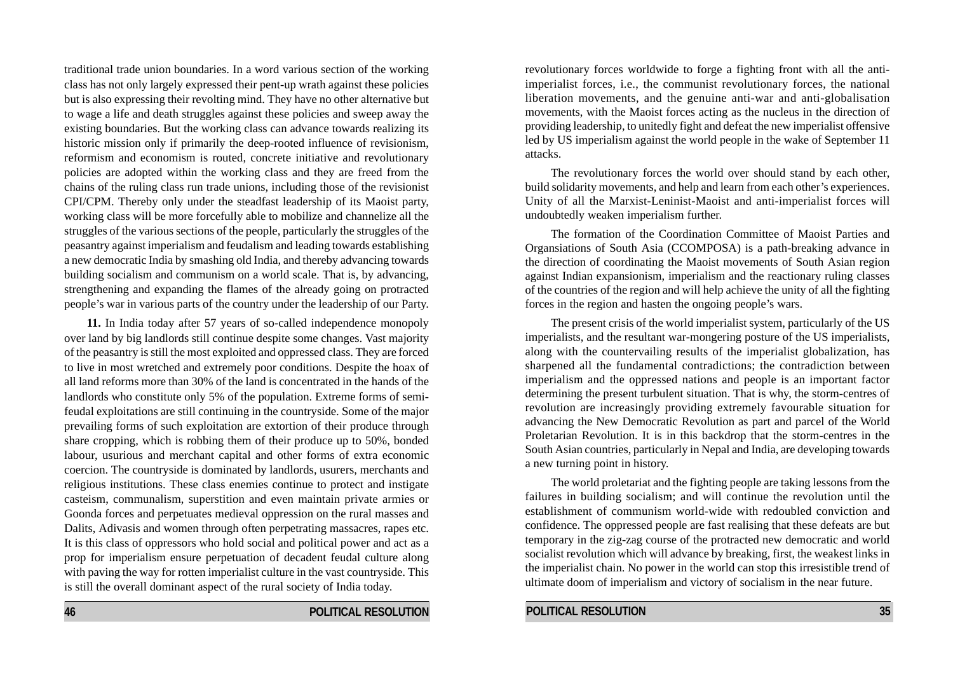traditional trade union boundaries. In a word various section of the working class has not only largely expressed their pent-up wrath against these policies but is also expressing their revolting mind. They have no other alternative but to wage a life and death struggles against these policies and sweep away the existing boundaries. But the working class can advance towards realizing its historic mission only if primarily the deep-rooted influence of revisionism, reformism and economism is routed, concrete initiative and revolutionary policies are adopted within the working class and they are freed from the chains of the ruling class run trade unions, including those of the revisionist CPI/CPM. Thereby only under the steadfast leadership of its Maoist party, working class will be more forcefully able to mobilize and channelize all the struggles of the various sections of the people, particularly the struggles of the peasantry against imperialism and feudalism and leading towards establishing a new democratic India by smashing old India, and thereby advancing towards building socialism and communism on a world scale. That is, by advancing, strengthening and expanding the flames of the already going on protracted people's war in various parts of the country under the leadership of our Party.

**11.** In India today after 57 years of so-called independence monopoly over land by big landlords still continue despite some changes. Vast majority of the peasantry is still the most exploited and oppressed class. They are forced to live in most wretched and extremely poor conditions. Despite the hoax of all land reforms more than 30% of the land is concentrated in the hands of the landlords who constitute only 5% of the population. Extreme forms of semifeudal exploitations are still continuing in the countryside. Some of the major prevailing forms of such exploitation are extortion of their produce through share cropping, which is robbing them of their produce up to 50%, bonded labour, usurious and merchant capital and other forms of extra economic coercion. The countryside is dominated by landlords, usurers, merchants and religious institutions. These class enemies continue to protect and instigate casteism, communalism, superstition and even maintain private armies or Goonda forces and perpetuates medieval oppression on the rural masses and Dalits, Adivasis and women through often perpetrating massacres, rapes etc. It is this class of oppressors who hold social and political power and act as a prop for imperialism ensure perpetuation of decadent feudal culture along with paving the way for rotten imperialist culture in the vast countryside. This is still the overall dominant aspect of the rural society of India today.

revolutionary forces worldwide to forge a fighting front with all the antiimperialist forces, i.e., the communist revolutionary forces, the national liberation movements, and the genuine anti-war and anti-globalisation movements, with the Maoist forces acting as the nucleus in the direction of providing leadership, to unitedly fight and defeat the new imperialist offensive led by US imperialism against the world people in the wake of September 11 attacks.

The revolutionary forces the world over should stand by each other, build solidarity movements, and help and learn from each other's experiences. Unity of all the Marxist-Leninist-Maoist and anti-imperialist forces will undoubtedly weaken imperialism further.

The formation of the Coordination Committee of Maoist Parties and Organsiations of South Asia (CCOMPOSA) is a path-breaking advance in the direction of coordinating the Maoist movements of South Asian region against Indian expansionism, imperialism and the reactionary ruling classes of the countries of the region and will help achieve the unity of all the fighting forces in the region and hasten the ongoing people's wars.

The present crisis of the world imperialist system, particularly of the US imperialists, and the resultant war-mongering posture of the US imperialists, along with the countervailing results of the imperialist globalization, has sharpened all the fundamental contradictions; the contradiction between imperialism and the oppressed nations and people is an important factor determining the present turbulent situation. That is why, the storm-centres of revolution are increasingly providing extremely favourable situation for advancing the New Democratic Revolution as part and parcel of the World Proletarian Revolution. It is in this backdrop that the storm-centres in the South Asian countries, particularly in Nepal and India, are developing towards a new turning point in history.

The world proletariat and the fighting people are taking lessons from the failures in building socialism; and will continue the revolution until the establishment of communism world-wide with redoubled conviction and confidence. The oppressed people are fast realising that these defeats are but temporary in the zig-zag course of the protracted new democratic and world socialist revolution which will advance by breaking, first, the weakest links in the imperialist chain. No power in the world can stop this irresistible trend of ultimate doom of imperialism and victory of socialism in the near future.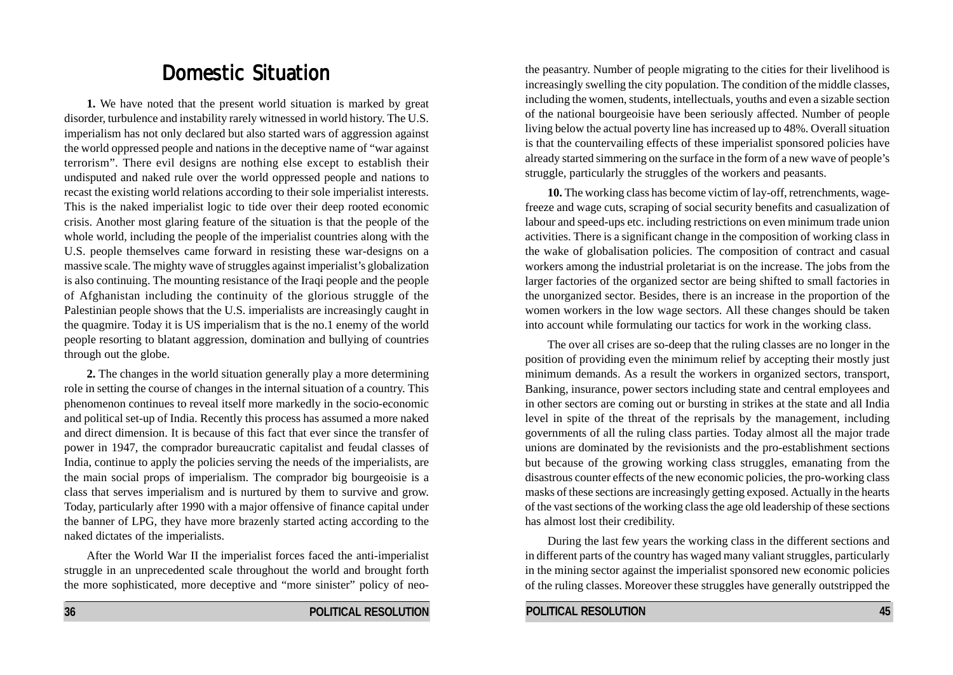# Domestic Situation

**1.** We have noted that the present world situation is marked by great disorder, turbulence and instability rarely witnessed in world history. The U.S. imperialism has not only declared but also started wars of aggression against the world oppressed people and nations in the deceptive name of "war against terrorism". There evil designs are nothing else except to establish their undisputed and naked rule over the world oppressed people and nations to recast the existing world relations according to their sole imperialist interests. This is the naked imperialist logic to tide over their deep rooted economic crisis. Another most glaring feature of the situation is that the people of the whole world, including the people of the imperialist countries along with the U.S. people themselves came forward in resisting these war-designs on a massive scale. The mighty wave of struggles against imperialist's globalization is also continuing. The mounting resistance of the Iraqi people and the people of Afghanistan including the continuity of the glorious struggle of the Palestinian people shows that the U.S. imperialists are increasingly caught in the quagmire. Today it is US imperialism that is the no.1 enemy of the world people resorting to blatant aggression, domination and bullying of countries through out the globe.

**2.** The changes in the world situation generally play a more determining role in setting the course of changes in the internal situation of a country. This phenomenon continues to reveal itself more markedly in the socio-economic and political set-up of India. Recently this process has assumed a more naked and direct dimension. It is because of this fact that ever since the transfer of power in 1947, the comprador bureaucratic capitalist and feudal classes of India, continue to apply the policies serving the needs of the imperialists, are the main social props of imperialism. The comprador big bourgeoisie is a class that serves imperialism and is nurtured by them to survive and grow. Today, particularly after 1990 with a major offensive of finance capital under the banner of LPG, they have more brazenly started acting according to the naked dictates of the imperialists.

After the World War II the imperialist forces faced the anti-imperialist struggle in an unprecedented scale throughout the world and brought forth the more sophisticated, more deceptive and "more sinister" policy of neothe peasantry. Number of people migrating to the cities for their livelihood is increasingly swelling the city population. The condition of the middle classes, including the women, students, intellectuals, youths and even a sizable section of the national bourgeoisie have been seriously affected. Number of people living below the actual poverty line has increased up to 48%. Overall situation is that the countervailing effects of these imperialist sponsored policies have already started simmering on the surface in the form of a new wave of people's struggle, particularly the struggles of the workers and peasants.

**10.** The working class has become victim of lay-off, retrenchments, wagefreeze and wage cuts, scraping of social security benefits and casualization of labour and speed-ups etc. including restrictions on even minimum trade union activities. There is a significant change in the composition of working class in the wake of globalisation policies. The composition of contract and casual workers among the industrial proletariat is on the increase. The jobs from the larger factories of the organized sector are being shifted to small factories in the unorganized sector. Besides, there is an increase in the proportion of the women workers in the low wage sectors. All these changes should be taken into account while formulating our tactics for work in the working class.

The over all crises are so-deep that the ruling classes are no longer in the position of providing even the minimum relief by accepting their mostly just minimum demands. As a result the workers in organized sectors, transport, Banking, insurance, power sectors including state and central employees and in other sectors are coming out or bursting in strikes at the state and all India level in spite of the threat of the reprisals by the management, including governments of all the ruling class parties. Today almost all the major trade unions are dominated by the revisionists and the pro-establishment sections but because of the growing working class struggles, emanating from the disastrous counter effects of the new economic policies, the pro-working class masks of these sections are increasingly getting exposed. Actually in the hearts of the vast sections of the working class the age old leadership of these sections has almost lost their credibility.

During the last few years the working class in the different sections and in different parts of the country has waged many valiant struggles, particularly in the mining sector against the imperialist sponsored new economic policies of the ruling classes. Moreover these struggles have generally outstripped the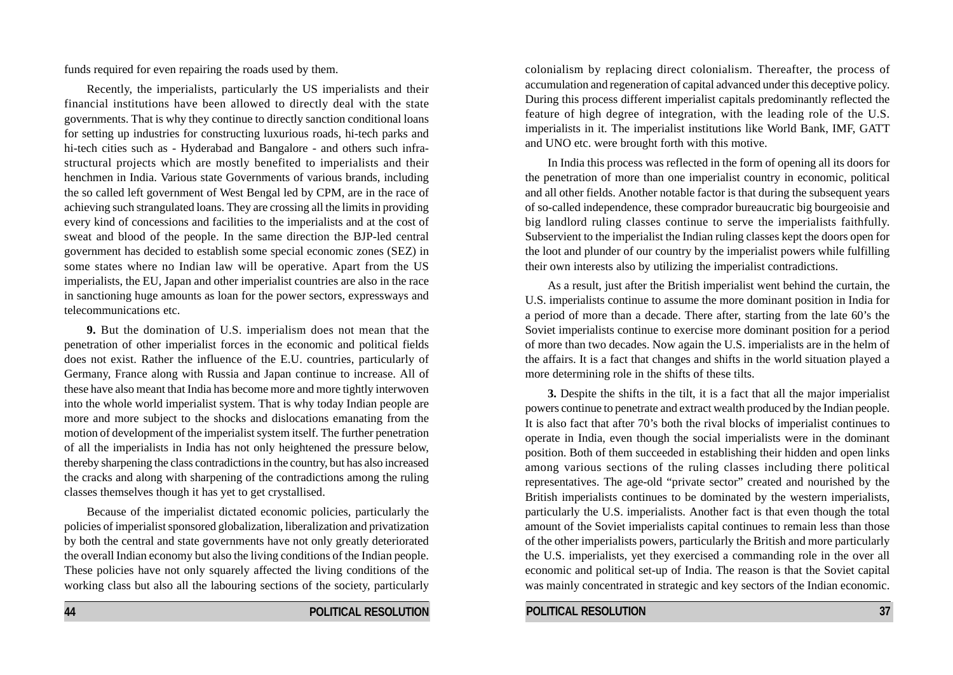funds required for even repairing the roads used by them.

Recently, the imperialists, particularly the US imperialists and their financial institutions have been allowed to directly deal with the state governments. That is why they continue to directly sanction conditional loans for setting up industries for constructing luxurious roads, hi-tech parks and hi-tech cities such as - Hyderabad and Bangalore - and others such infrastructural projects which are mostly benefited to imperialists and their henchmen in India. Various state Governments of various brands, including the so called left government of West Bengal led by CPM, are in the race of achieving such strangulated loans. They are crossing all the limits in providing every kind of concessions and facilities to the imperialists and at the cost of sweat and blood of the people. In the same direction the BJP-led central government has decided to establish some special economic zones (SEZ) in some states where no Indian law will be operative. Apart from the US imperialists, the EU, Japan and other imperialist countries are also in the race in sanctioning huge amounts as loan for the power sectors, expressways and telecommunications etc.

**9.** But the domination of U.S. imperialism does not mean that the penetration of other imperialist forces in the economic and political fields does not exist. Rather the influence of the E.U. countries, particularly of Germany, France along with Russia and Japan continue to increase. All of these have also meant that India has become more and more tightly interwoven into the whole world imperialist system. That is why today Indian people are more and more subject to the shocks and dislocations emanating from the motion of development of the imperialist system itself. The further penetration of all the imperialists in India has not only heightened the pressure below, thereby sharpening the class contradictions in the country, but has also increased the cracks and along with sharpening of the contradictions among the ruling classes themselves though it has yet to get crystallised.

Because of the imperialist dictated economic policies, particularly the policies of imperialist sponsored globalization, liberalization and privatization by both the central and state governments have not only greatly deteriorated the overall Indian economy but also the living conditions of the Indian people. These policies have not only squarely affected the living conditions of the working class but also all the labouring sections of the society, particularly

**44 POLITICAL RESOLUTION**

colonialism by replacing direct colonialism. Thereafter, the process of accumulation and regeneration of capital advanced under this deceptive policy. During this process different imperialist capitals predominantly reflected the feature of high degree of integration, with the leading role of the U.S. imperialists in it. The imperialist institutions like World Bank, IMF, GATT and UNO etc. were brought forth with this motive.

In India this process was reflected in the form of opening all its doors for the penetration of more than one imperialist country in economic, political and all other fields. Another notable factor is that during the subsequent years of so-called independence, these comprador bureaucratic big bourgeoisie and big landlord ruling classes continue to serve the imperialists faithfully. Subservient to the imperialist the Indian ruling classes kept the doors open for the loot and plunder of our country by the imperialist powers while fulfilling their own interests also by utilizing the imperialist contradictions.

As a result, just after the British imperialist went behind the curtain, the U.S. imperialists continue to assume the more dominant position in India for a period of more than a decade. There after, starting from the late 60's the Soviet imperialists continue to exercise more dominant position for a period of more than two decades. Now again the U.S. imperialists are in the helm of the affairs. It is a fact that changes and shifts in the world situation played a more determining role in the shifts of these tilts.

**3.** Despite the shifts in the tilt, it is a fact that all the major imperialist powers continue to penetrate and extract wealth produced by the Indian people. It is also fact that after 70's both the rival blocks of imperialist continues to operate in India, even though the social imperialists were in the dominant position. Both of them succeeded in establishing their hidden and open links among various sections of the ruling classes including there political representatives. The age-old "private sector" created and nourished by the British imperialists continues to be dominated by the western imperialists, particularly the U.S. imperialists. Another fact is that even though the total amount of the Soviet imperialists capital continues to remain less than those of the other imperialists powers, particularly the British and more particularly the U.S. imperialists, yet they exercised a commanding role in the over all economic and political set-up of India. The reason is that the Soviet capital was mainly concentrated in strategic and key sectors of the Indian economic.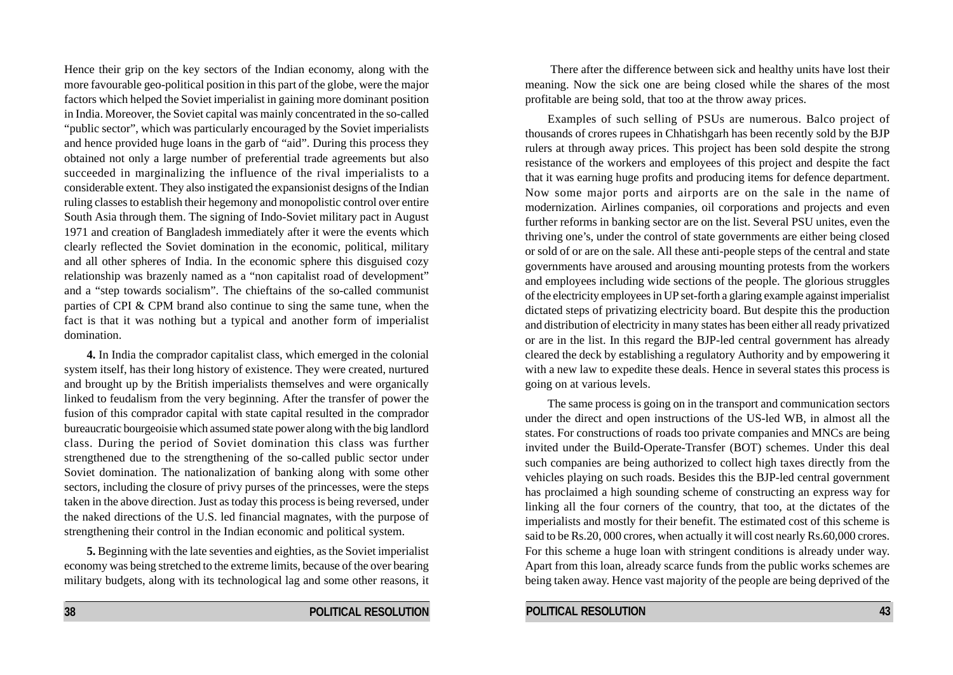Hence their grip on the key sectors of the Indian economy, along with the more favourable geo-political position in this part of the globe, were the major factors which helped the Soviet imperialist in gaining more dominant position in India. Moreover, the Soviet capital was mainly concentrated in the so-called "public sector", which was particularly encouraged by the Soviet imperialists and hence provided huge loans in the garb of "aid". During this process they obtained not only a large number of preferential trade agreements but also succeeded in marginalizing the influence of the rival imperialists to a considerable extent. They also instigated the expansionist designs of the Indian ruling classes to establish their hegemony and monopolistic control over entire South Asia through them. The signing of Indo-Soviet military pact in August 1971 and creation of Bangladesh immediately after it were the events which clearly reflected the Soviet domination in the economic, political, military and all other spheres of India. In the economic sphere this disguised cozy relationship was brazenly named as a "non capitalist road of development" and a "step towards socialism". The chieftains of the so-called communist parties of CPI & CPM brand also continue to sing the same tune, when the fact is that it was nothing but a typical and another form of imperialist domination.

**4.** In India the comprador capitalist class, which emerged in the colonial system itself, has their long history of existence. They were created, nurtured and brought up by the British imperialists themselves and were organically linked to feudalism from the very beginning. After the transfer of power the fusion of this comprador capital with state capital resulted in the comprador bureaucratic bourgeoisie which assumed state power along with the big landlord class. During the period of Soviet domination this class was further strengthened due to the strengthening of the so-called public sector under Soviet domination. The nationalization of banking along with some other sectors, including the closure of privy purses of the princesses, were the steps taken in the above direction. Just as today this process is being reversed, under the naked directions of the U.S. led financial magnates, with the purpose of strengthening their control in the Indian economic and political system.

**5.** Beginning with the late seventies and eighties, as the Soviet imperialist economy was being stretched to the extreme limits, because of the over bearing military budgets, along with its technological lag and some other reasons, it

 There after the difference between sick and healthy units have lost their meaning. Now the sick one are being closed while the shares of the most profitable are being sold, that too at the throw away prices.

Examples of such selling of PSUs are numerous. Balco project of thousands of crores rupees in Chhatishgarh has been recently sold by the BJP rulers at through away prices. This project has been sold despite the strong resistance of the workers and employees of this project and despite the fact that it was earning huge profits and producing items for defence department. Now some major ports and airports are on the sale in the name of modernization. Airlines companies, oil corporations and projects and even further reforms in banking sector are on the list. Several PSU unites, even the thriving one's, under the control of state governments are either being closed or sold of or are on the sale. All these anti-people steps of the central and state governments have aroused and arousing mounting protests from the workers and employees including wide sections of the people. The glorious struggles of the electricity employees in UP set-forth a glaring example against imperialist dictated steps of privatizing electricity board. But despite this the production and distribution of electricity in many states has been either all ready privatized or are in the list. In this regard the BJP-led central government has already cleared the deck by establishing a regulatory Authority and by empowering it with a new law to expedite these deals. Hence in several states this process is going on at various levels.

The same process is going on in the transport and communication sectors under the direct and open instructions of the US-led WB, in almost all the states. For constructions of roads too private companies and MNCs are being invited under the Build-Operate-Transfer (BOT) schemes. Under this deal such companies are being authorized to collect high taxes directly from the vehicles playing on such roads. Besides this the BJP-led central government has proclaimed a high sounding scheme of constructing an express way for linking all the four corners of the country, that too, at the dictates of the imperialists and mostly for their benefit. The estimated cost of this scheme is said to be Rs.20, 000 crores, when actually it will cost nearly Rs.60,000 crores. For this scheme a huge loan with stringent conditions is already under way. Apart from this loan, already scarce funds from the public works schemes are being taken away. Hence vast majority of the people are being deprived of the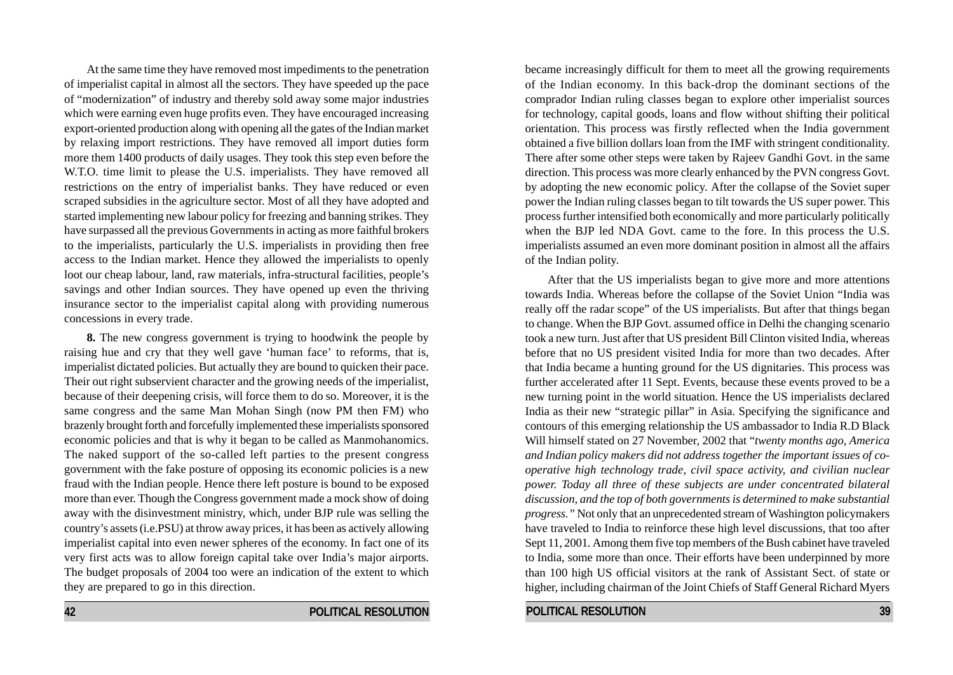At the same time they have removed most impediments to the penetration of imperialist capital in almost all the sectors. They have speeded up the pace of "modernization" of industry and thereby sold away some major industries which were earning even huge profits even. They have encouraged increasing export-oriented production along with opening all the gates of the Indian market by relaxing import restrictions. They have removed all import duties form more them 1400 products of daily usages. They took this step even before the W.T.O. time limit to please the U.S. imperialists. They have removed all restrictions on the entry of imperialist banks. They have reduced or even scraped subsidies in the agriculture sector. Most of all they have adopted and started implementing new labour policy for freezing and banning strikes. They have surpassed all the previous Governments in acting as more faithful brokers to the imperialists, particularly the U.S. imperialists in providing then free access to the Indian market. Hence they allowed the imperialists to openly loot our cheap labour, land, raw materials, infra-structural facilities, people's savings and other Indian sources. They have opened up even the thriving insurance sector to the imperialist capital along with providing numerous concessions in every trade.

**8.** The new congress government is trying to hoodwink the people by raising hue and cry that they well gave 'human face' to reforms, that is, imperialist dictated policies. But actually they are bound to quicken their pace. Their out right subservient character and the growing needs of the imperialist, because of their deepening crisis, will force them to do so. Moreover, it is the same congress and the same Man Mohan Singh (now PM then FM) who brazenly brought forth and forcefully implemented these imperialists sponsored economic policies and that is why it began to be called as Manmohanomics. The naked support of the so-called left parties to the present congress government with the fake posture of opposing its economic policies is a new fraud with the Indian people. Hence there left posture is bound to be exposed more than ever. Though the Congress government made a mock show of doing away with the disinvestment ministry, which, under BJP rule was selling the country's assets (i.e.PSU) at throw away prices, it has been as actively allowing imperialist capital into even newer spheres of the economy. In fact one of its very first acts was to allow foreign capital take over India's major airports. The budget proposals of 2004 too were an indication of the extent to which they are prepared to go in this direction.

became increasingly difficult for them to meet all the growing requirements of the Indian economy. In this back-drop the dominant sections of the comprador Indian ruling classes began to explore other imperialist sources for technology, capital goods, loans and flow without shifting their political orientation. This process was firstly reflected when the India government obtained a five billion dollars loan from the IMF with stringent conditionality. There after some other steps were taken by Rajeev Gandhi Govt. in the same direction. This process was more clearly enhanced by the PVN congress Govt. by adopting the new economic policy. After the collapse of the Soviet super power the Indian ruling classes began to tilt towards the US super power. This process further intensified both economically and more particularly politically when the BJP led NDA Govt. came to the fore. In this process the U.S. imperialists assumed an even more dominant position in almost all the affairs of the Indian polity.

After that the US imperialists began to give more and more attentions towards India. Whereas before the collapse of the Soviet Union "India was really off the radar scope" of the US imperialists. But after that things began to change. When the BJP Govt. assumed office in Delhi the changing scenario took a new turn. Just after that US president Bill Clinton visited India, whereas before that no US president visited India for more than two decades. After that India became a hunting ground for the US dignitaries. This process was further accelerated after 11 Sept. Events, because these events proved to be a new turning point in the world situation. Hence the US imperialists declared India as their new "strategic pillar" in Asia. Specifying the significance and contours of this emerging relationship the US ambassador to India R.D Black Will himself stated on 27 November, 2002 that "*twenty months ago, America and Indian policy makers did not address together the important issues of cooperative high technology trade, civil space activity, and civilian nuclear power. Today all three of these subjects are under concentrated bilateral discussion, and the top of both governments is determined to make substantial progress."* Not only that an unprecedented stream of Washington policymakers have traveled to India to reinforce these high level discussions, that too after Sept 11, 2001. Among them five top members of the Bush cabinet have traveled to India, some more than once. Their efforts have been underpinned by more than 100 high US official visitors at the rank of Assistant Sect. of state or higher, including chairman of the Joint Chiefs of Staff General Richard Myers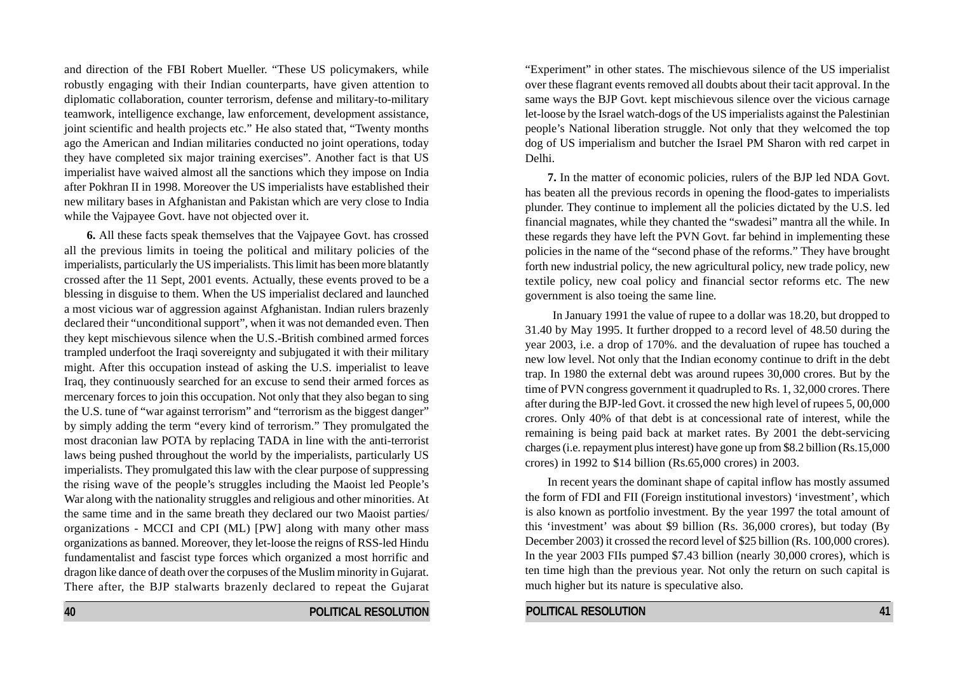and direction of the FBI Robert Mueller. "These US policymakers, while robustly engaging with their Indian counterparts, have given attention to diplomatic collaboration, counter terrorism, defense and military-to-military teamwork, intelligence exchange, law enforcement, development assistance, joint scientific and health projects etc." He also stated that, "Twenty months ago the American and Indian militaries conducted no joint operations, today they have completed six major training exercises". Another fact is that US imperialist have waived almost all the sanctions which they impose on India after Pokhran II in 1998. Moreover the US imperialists have established their new military bases in Afghanistan and Pakistan which are very close to India while the Vajpayee Govt. have not objected over it.

**6.** All these facts speak themselves that the Vajpayee Govt. has crossed all the previous limits in toeing the political and military policies of the imperialists, particularly the US imperialists. This limit has been more blatantly crossed after the 11 Sept, 2001 events. Actually, these events proved to be a blessing in disguise to them. When the US imperialist declared and launched a most vicious war of aggression against Afghanistan. Indian rulers brazenly declared their "unconditional support", when it was not demanded even. Then they kept mischievous silence when the U.S.-British combined armed forces trampled underfoot the Iraqi sovereignty and subjugated it with their military might. After this occupation instead of asking the U.S. imperialist to leave Iraq, they continuously searched for an excuse to send their armed forces as mercenary forces to join this occupation. Not only that they also began to sing the U.S. tune of "war against terrorism" and "terrorism as the biggest danger" by simply adding the term "every kind of terrorism." They promulgated the most draconian law POTA by replacing TADA in line with the anti-terrorist laws being pushed throughout the world by the imperialists, particularly US imperialists. They promulgated this law with the clear purpose of suppressing the rising wave of the people's struggles including the Maoist led People's War along with the nationality struggles and religious and other minorities. At the same time and in the same breath they declared our two Maoist parties/ organizations - MCCI and CPI (ML) [PW] along with many other mass organizations as banned. Moreover, they let-loose the reigns of RSS-led Hindu fundamentalist and fascist type forces which organized a most horrific and dragon like dance of death over the corpuses of the Muslim minority in Gujarat. There after, the BJP stalwarts brazenly declared to repeat the Gujarat

"Experiment" in other states. The mischievous silence of the US imperialist over these flagrant events removed all doubts about their tacit approval. In the same ways the BJP Govt. kept mischievous silence over the vicious carnage let-loose by the Israel watch-dogs of the US imperialists against the Palestinian people's National liberation struggle. Not only that they welcomed the top dog of US imperialism and butcher the Israel PM Sharon with red carpet in Delhi.

**7.** In the matter of economic policies, rulers of the BJP led NDA Govt. has beaten all the previous records in opening the flood-gates to imperialists plunder. They continue to implement all the policies dictated by the U.S. led financial magnates, while they chanted the "swadesi" mantra all the while. In these regards they have left the PVN Govt. far behind in implementing these policies in the name of the "second phase of the reforms." They have brought forth new industrial policy, the new agricultural policy, new trade policy, new textile policy, new coal policy and financial sector reforms etc. The new government is also toeing the same line*.*

 In January 1991 the value of rupee to a dollar was 18.20, but dropped to 31.40 by May 1995. It further dropped to a record level of 48.50 during the year 2003, i.e. a drop of 170%. and the devaluation of rupee has touched a new low level. Not only that the Indian economy continue to drift in the debt trap. In 1980 the external debt was around rupees 30,000 crores. But by the time of PVN congress government it quadrupled to Rs. 1, 32,000 crores. There after during the BJP-led Govt. it crossed the new high level of rupees 5, 00,000 crores. Only 40% of that debt is at concessional rate of interest, while the remaining is being paid back at market rates. By 2001 the debt-servicing charges (i.e. repayment plus interest) have gone up from \$8.2 billion (Rs.15,000 crores) in 1992 to \$14 billion (Rs.65,000 crores) in 2003.

In recent years the dominant shape of capital inflow has mostly assumed the form of FDI and FII (Foreign institutional investors) 'investment', which is also known as portfolio investment. By the year 1997 the total amount of this 'investment' was about \$9 billion (Rs. 36,000 crores), but today (By December 2003) it crossed the record level of \$25 billion (Rs. 100,000 crores). In the year 2003 FIIs pumped \$7.43 billion (nearly 30,000 crores), which is ten time high than the previous year. Not only the return on such capital is much higher but its nature is speculative also.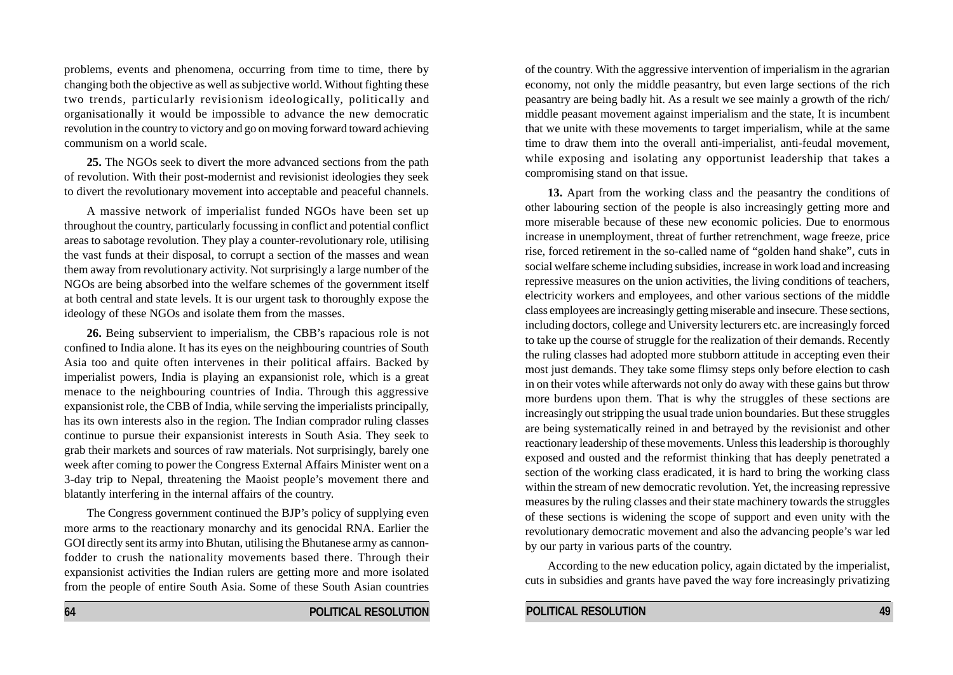problems, events and phenomena, occurring from time to time, there by changing both the objective as well as subjective world. Without fighting these two trends, particularly revisionism ideologically, politically and organisationally it would be impossible to advance the new democratic revolution in the country to victory and go on moving forward toward achieving communism on a world scale.

**25.** The NGOs seek to divert the more advanced sections from the path of revolution. With their post-modernist and revisionist ideologies they seek to divert the revolutionary movement into acceptable and peaceful channels.

A massive network of imperialist funded NGOs have been set up throughout the country, particularly focussing in conflict and potential conflict areas to sabotage revolution. They play a counter-revolutionary role, utilising the vast funds at their disposal, to corrupt a section of the masses and wean them away from revolutionary activity. Not surprisingly a large number of the NGOs are being absorbed into the welfare schemes of the government itself at both central and state levels. It is our urgent task to thoroughly expose the ideology of these NGOs and isolate them from the masses.

**26.** Being subservient to imperialism, the CBB's rapacious role is not confined to India alone. It has its eyes on the neighbouring countries of South Asia too and quite often intervenes in their political affairs. Backed by imperialist powers, India is playing an expansionist role, which is a great menace to the neighbouring countries of India. Through this aggressive expansionist role, the CBB of India, while serving the imperialists principally, has its own interests also in the region. The Indian comprador ruling classes continue to pursue their expansionist interests in South Asia. They seek to grab their markets and sources of raw materials. Not surprisingly, barely one week after coming to power the Congress External Affairs Minister went on a 3-day trip to Nepal, threatening the Maoist people's movement there and blatantly interfering in the internal affairs of the country.

The Congress government continued the BJP's policy of supplying even more arms to the reactionary monarchy and its genocidal RNA. Earlier the GOI directly sent its army into Bhutan, utilising the Bhutanese army as cannonfodder to crush the nationality movements based there. Through their expansionist activities the Indian rulers are getting more and more isolated from the people of entire South Asia. Some of these South Asian countries

of the country. With the aggressive intervention of imperialism in the agrarian economy, not only the middle peasantry, but even large sections of the rich peasantry are being badly hit. As a result we see mainly a growth of the rich/ middle peasant movement against imperialism and the state, It is incumbent that we unite with these movements to target imperialism, while at the same time to draw them into the overall anti-imperialist, anti-feudal movement, while exposing and isolating any opportunist leadership that takes a compromising stand on that issue.

**13.** Apart from the working class and the peasantry the conditions of other labouring section of the people is also increasingly getting more and more miserable because of these new economic policies. Due to enormous increase in unemployment, threat of further retrenchment, wage freeze, price rise, forced retirement in the so-called name of "golden hand shake", cuts in social welfare scheme including subsidies, increase in work load and increasing repressive measures on the union activities, the living conditions of teachers, electricity workers and employees, and other various sections of the middle class employees are increasingly getting miserable and insecure. These sections, including doctors, college and University lecturers etc. are increasingly forced to take up the course of struggle for the realization of their demands. Recently the ruling classes had adopted more stubborn attitude in accepting even their most just demands. They take some flimsy steps only before election to cash in on their votes while afterwards not only do away with these gains but throw more burdens upon them. That is why the struggles of these sections are increasingly out stripping the usual trade union boundaries. But these struggles are being systematically reined in and betrayed by the revisionist and other reactionary leadership of these movements. Unless this leadership is thoroughly exposed and ousted and the reformist thinking that has deeply penetrated a section of the working class eradicated, it is hard to bring the working class within the stream of new democratic revolution. Yet, the increasing repressive measures by the ruling classes and their state machinery towards the struggles of these sections is widening the scope of support and even unity with the revolutionary democratic movement and also the advancing people's war led by our party in various parts of the country.

According to the new education policy, again dictated by the imperialist, cuts in subsidies and grants have paved the way fore increasingly privatizing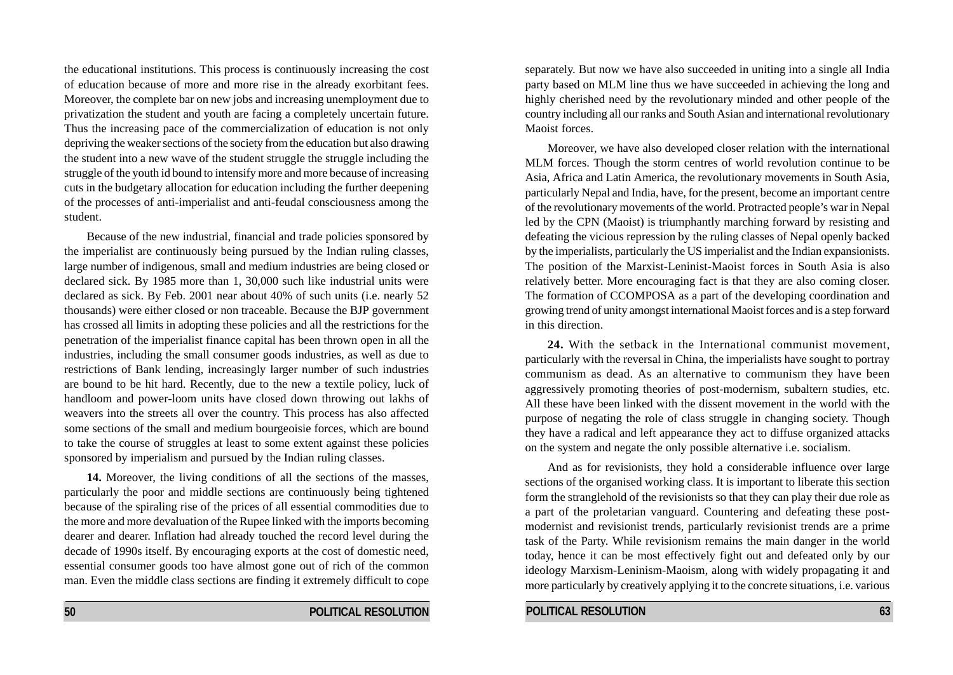the educational institutions. This process is continuously increasing the cost of education because of more and more rise in the already exorbitant fees. Moreover, the complete bar on new jobs and increasing unemployment due to privatization the student and youth are facing a completely uncertain future. Thus the increasing pace of the commercialization of education is not only depriving the weaker sections of the society from the education but also drawing the student into a new wave of the student struggle the struggle including the struggle of the youth id bound to intensify more and more because of increasing cuts in the budgetary allocation for education including the further deepening of the processes of anti-imperialist and anti-feudal consciousness among the student.

Because of the new industrial, financial and trade policies sponsored by the imperialist are continuously being pursued by the Indian ruling classes, large number of indigenous, small and medium industries are being closed or declared sick. By 1985 more than 1, 30,000 such like industrial units were declared as sick. By Feb. 2001 near about 40% of such units (i.e. nearly 52 thousands) were either closed or non traceable. Because the BJP government has crossed all limits in adopting these policies and all the restrictions for the penetration of the imperialist finance capital has been thrown open in all the industries, including the small consumer goods industries, as well as due to restrictions of Bank lending, increasingly larger number of such industries are bound to be hit hard. Recently, due to the new a textile policy, luck of handloom and power-loom units have closed down throwing out lakhs of weavers into the streets all over the country. This process has also affected some sections of the small and medium bourgeoisie forces, which are bound to take the course of struggles at least to some extent against these policies sponsored by imperialism and pursued by the Indian ruling classes.

**14.** Moreover, the living conditions of all the sections of the masses, particularly the poor and middle sections are continuously being tightened because of the spiraling rise of the prices of all essential commodities due to the more and more devaluation of the Rupee linked with the imports becoming dearer and dearer. Inflation had already touched the record level during the decade of 1990s itself. By encouraging exports at the cost of domestic need, essential consumer goods too have almost gone out of rich of the common man. Even the middle class sections are finding it extremely difficult to cope separately. But now we have also succeeded in uniting into a single all India party based on MLM line thus we have succeeded in achieving the long and highly cherished need by the revolutionary minded and other people of the country including all our ranks and South Asian and international revolutionary Maoist forces.

Moreover, we have also developed closer relation with the international MLM forces. Though the storm centres of world revolution continue to be Asia, Africa and Latin America, the revolutionary movements in South Asia, particularly Nepal and India, have, for the present, become an important centre of the revolutionary movements of the world. Protracted people's war in Nepal led by the CPN (Maoist) is triumphantly marching forward by resisting and defeating the vicious repression by the ruling classes of Nepal openly backed by the imperialists, particularly the US imperialist and the Indian expansionists. The position of the Marxist-Leninist-Maoist forces in South Asia is also relatively better. More encouraging fact is that they are also coming closer. The formation of CCOMPOSA as a part of the developing coordination and growing trend of unity amongst international Maoist forces and is a step forward in this direction.

**24.** With the setback in the International communist movement, particularly with the reversal in China, the imperialists have sought to portray communism as dead. As an alternative to communism they have been aggressively promoting theories of post-modernism, subaltern studies, etc. All these have been linked with the dissent movement in the world with the purpose of negating the role of class struggle in changing society. Though they have a radical and left appearance they act to diffuse organized attacks on the system and negate the only possible alternative i.e. socialism.

And as for revisionists, they hold a considerable influence over large sections of the organised working class. It is important to liberate this section form the stranglehold of the revisionists so that they can play their due role as a part of the proletarian vanguard. Countering and defeating these postmodernist and revisionist trends, particularly revisionist trends are a prime task of the Party. While revisionism remains the main danger in the world today, hence it can be most effectively fight out and defeated only by our ideology Marxism-Leninism-Maoism, along with widely propagating it and more particularly by creatively applying it to the concrete situations, i.e. various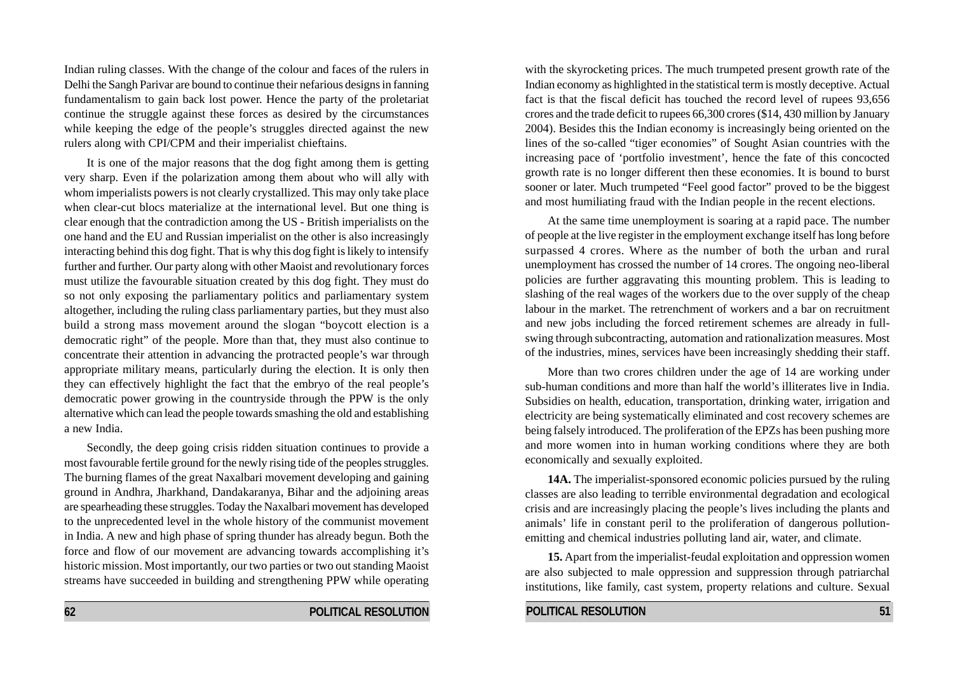Indian ruling classes. With the change of the colour and faces of the rulers in Delhi the Sangh Parivar are bound to continue their nefarious designs in fanning fundamentalism to gain back lost power. Hence the party of the proletariat continue the struggle against these forces as desired by the circumstances while keeping the edge of the people's struggles directed against the new rulers along with CPI/CPM and their imperialist chieftains.

It is one of the major reasons that the dog fight among them is getting very sharp. Even if the polarization among them about who will ally with whom imperialists powers is not clearly crystallized. This may only take place when clear-cut blocs materialize at the international level. But one thing is clear enough that the contradiction among the US - British imperialists on the one hand and the EU and Russian imperialist on the other is also increasingly interacting behind this dog fight. That is why this dog fight is likely to intensify further and further. Our party along with other Maoist and revolutionary forces must utilize the favourable situation created by this dog fight. They must do so not only exposing the parliamentary politics and parliamentary system altogether, including the ruling class parliamentary parties, but they must also build a strong mass movement around the slogan "boycott election is a democratic right" of the people. More than that, they must also continue to concentrate their attention in advancing the protracted people's war through appropriate military means, particularly during the election. It is only then they can effectively highlight the fact that the embryo of the real people's democratic power growing in the countryside through the PPW is the only alternative which can lead the people towards smashing the old and establishing a new India.

Secondly, the deep going crisis ridden situation continues to provide a most favourable fertile ground for the newly rising tide of the peoples struggles. The burning flames of the great Naxalbari movement developing and gaining ground in Andhra, Jharkhand, Dandakaranya, Bihar and the adjoining areas are spearheading these struggles. Today the Naxalbari movement has developed to the unprecedented level in the whole history of the communist movement in India. A new and high phase of spring thunder has already begun. Both the force and flow of our movement are advancing towards accomplishing it's historic mission. Most importantly, our two parties or two out standing Maoist streams have succeeded in building and strengthening PPW while operating

with the skyrocketing prices. The much trumpeted present growth rate of the Indian economy as highlighted in the statistical term is mostly deceptive. Actual fact is that the fiscal deficit has touched the record level of rupees 93,656 crores and the trade deficit to rupees 66,300 crores (\$14, 430 million by January 2004). Besides this the Indian economy is increasingly being oriented on the lines of the so-called "tiger economies" of Sought Asian countries with the increasing pace of 'portfolio investment', hence the fate of this concocted growth rate is no longer different then these economies. It is bound to burst sooner or later. Much trumpeted "Feel good factor" proved to be the biggest and most humiliating fraud with the Indian people in the recent elections.

At the same time unemployment is soaring at a rapid pace. The number of people at the live register in the employment exchange itself has long before surpassed 4 crores. Where as the number of both the urban and rural unemployment has crossed the number of 14 crores. The ongoing neo-liberal policies are further aggravating this mounting problem. This is leading to slashing of the real wages of the workers due to the over supply of the cheap labour in the market. The retrenchment of workers and a bar on recruitment and new jobs including the forced retirement schemes are already in fullswing through subcontracting, automation and rationalization measures. Most of the industries, mines, services have been increasingly shedding their staff.

More than two crores children under the age of 14 are working under sub-human conditions and more than half the world's illiterates live in India. Subsidies on health, education, transportation, drinking water, irrigation and electricity are being systematically eliminated and cost recovery schemes are being falsely introduced. The proliferation of the EPZs has been pushing more and more women into in human working conditions where they are both economically and sexually exploited.

**14A.** The imperialist-sponsored economic policies pursued by the ruling classes are also leading to terrible environmental degradation and ecological crisis and are increasingly placing the people's lives including the plants and animals' life in constant peril to the proliferation of dangerous pollutionemitting and chemical industries polluting land air, water, and climate.

**15.** Apart from the imperialist-feudal exploitation and oppression women are also subjected to male oppression and suppression through patriarchal institutions, like family, cast system, property relations and culture. Sexual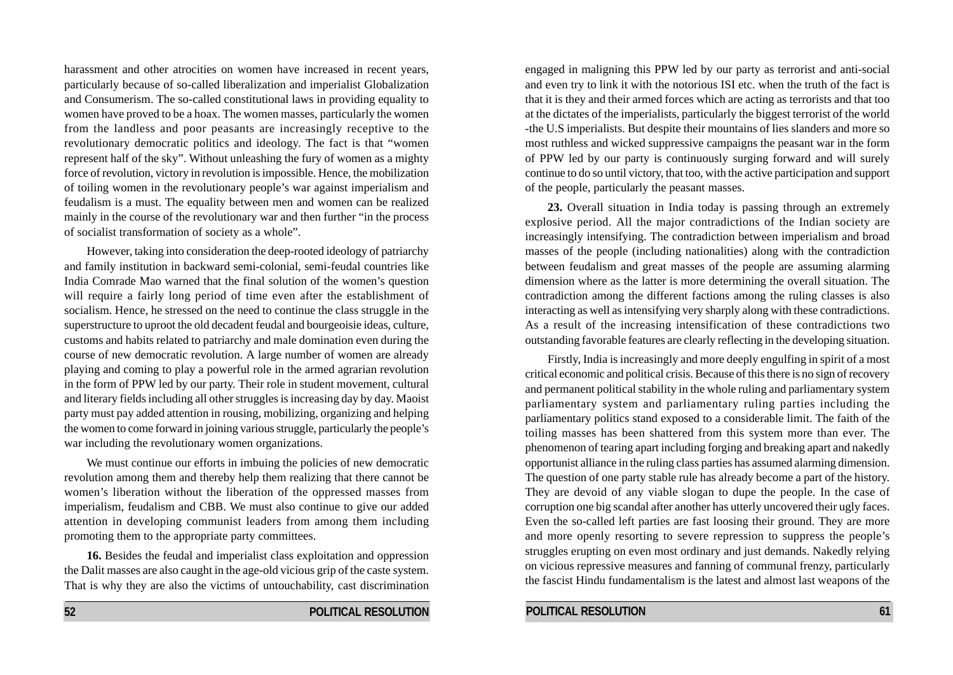harassment and other atrocities on women have increased in recent years, particularly because of so-called liberalization and imperialist Globalization and Consumerism. The so-called constitutional laws in providing equality to women have proved to be a hoax. The women masses, particularly the women from the landless and poor peasants are increasingly receptive to the revolutionary democratic politics and ideology. The fact is that "women represent half of the sky". Without unleashing the fury of women as a mighty force of revolution, victory in revolution is impossible. Hence, the mobilization of toiling women in the revolutionary people's war against imperialism and feudalism is a must. The equality between men and women can be realized mainly in the course of the revolutionary war and then further "in the process of socialist transformation of society as a whole".

However, taking into consideration the deep-rooted ideology of patriarchy and family institution in backward semi-colonial, semi-feudal countries like India Comrade Mao warned that the final solution of the women's question will require a fairly long period of time even after the establishment of socialism. Hence, he stressed on the need to continue the class struggle in the superstructure to uproot the old decadent feudal and bourgeoisie ideas, culture, customs and habits related to patriarchy and male domination even during the course of new democratic revolution. A large number of women are already playing and coming to play a powerful role in the armed agrarian revolution in the form of PPW led by our party. Their role in student movement, cultural and literary fields including all other struggles is increasing day by day. Maoist party must pay added attention in rousing, mobilizing, organizing and helping the women to come forward in joining various struggle, particularly the people's war including the revolutionary women organizations.

We must continue our efforts in imbuing the policies of new democratic revolution among them and thereby help them realizing that there cannot be women's liberation without the liberation of the oppressed masses from imperialism, feudalism and CBB. We must also continue to give our added attention in developing communist leaders from among them including promoting them to the appropriate party committees.

**16.** Besides the feudal and imperialist class exploitation and oppression the Dalit masses are also caught in the age-old vicious grip of the caste system. That is why they are also the victims of untouchability, cast discrimination

**52 POLITICAL RESOLUTION**

engaged in maligning this PPW led by our party as terrorist and anti-social and even try to link it with the notorious ISI etc. when the truth of the fact is that it is they and their armed forces which are acting as terrorists and that too at the dictates of the imperialists, particularly the biggest terrorist of the world -the U.S imperialists. But despite their mountains of lies slanders and more so most ruthless and wicked suppressive campaigns the peasant war in the form of PPW led by our party is continuously surging forward and will surely continue to do so until victory, that too, with the active participation and support of the people, particularly the peasant masses.

**23.** Overall situation in India today is passing through an extremely explosive period. All the major contradictions of the Indian society are increasingly intensifying. The contradiction between imperialism and broad masses of the people (including nationalities) along with the contradiction between feudalism and great masses of the people are assuming alarming dimension where as the latter is more determining the overall situation. The contradiction among the different factions among the ruling classes is also interacting as well as intensifying very sharply along with these contradictions. As a result of the increasing intensification of these contradictions two outstanding favorable features are clearly reflecting in the developing situation.

Firstly, India is increasingly and more deeply engulfing in spirit of a most critical economic and political crisis. Because of this there is no sign of recovery and permanent political stability in the whole ruling and parliamentary system parliamentary system and parliamentary ruling parties including the parliamentary politics stand exposed to a considerable limit. The faith of the toiling masses has been shattered from this system more than ever. The phenomenon of tearing apart including forging and breaking apart and nakedly opportunist alliance in the ruling class parties has assumed alarming dimension. The question of one party stable rule has already become a part of the history. They are devoid of any viable slogan to dupe the people. In the case of corruption one big scandal after another has utterly uncovered their ugly faces. Even the so-called left parties are fast loosing their ground. They are more and more openly resorting to severe repression to suppress the people's struggles erupting on even most ordinary and just demands. Nakedly relying on vicious repressive measures and fanning of communal frenzy, particularly the fascist Hindu fundamentalism is the latest and almost last weapons of the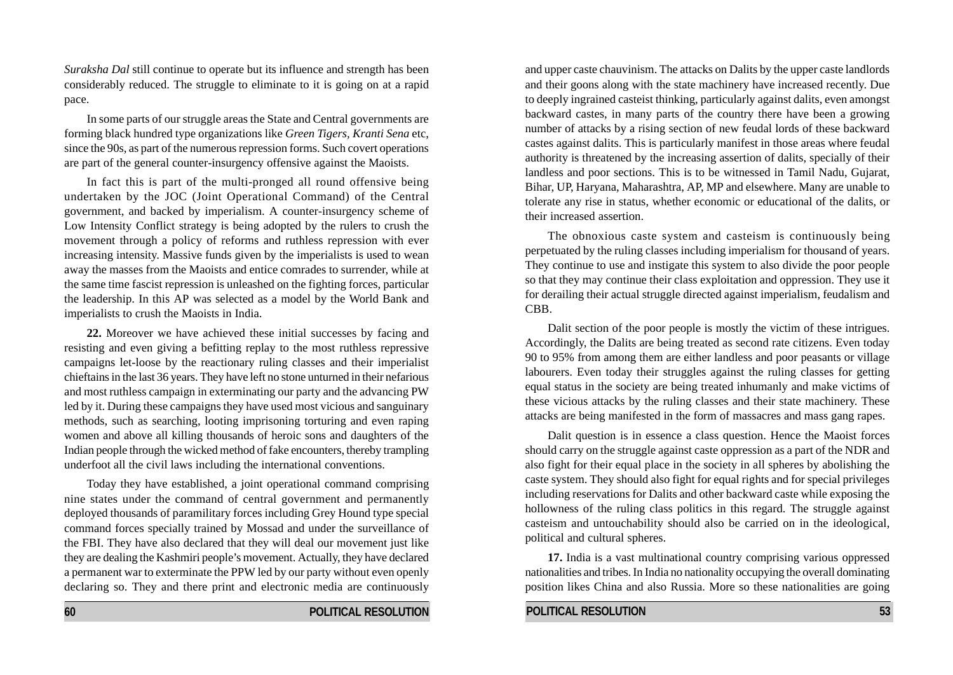*Suraksha Dal* still continue to operate but its influence and strength has been considerably reduced. The struggle to eliminate to it is going on at a rapid pace.

In some parts of our struggle areas the State and Central governments are forming black hundred type organizations like *Green Tigers, Kranti Sena* etc, since the 90s, as part of the numerous repression forms. Such covert operations are part of the general counter-insurgency offensive against the Maoists.

In fact this is part of the multi-pronged all round offensive being undertaken by the JOC (Joint Operational Command) of the Central government, and backed by imperialism. A counter-insurgency scheme of Low Intensity Conflict strategy is being adopted by the rulers to crush the movement through a policy of reforms and ruthless repression with ever increasing intensity. Massive funds given by the imperialists is used to wean away the masses from the Maoists and entice comrades to surrender, while at the same time fascist repression is unleashed on the fighting forces, particular the leadership. In this AP was selected as a model by the World Bank and imperialists to crush the Maoists in India.

**22.** Moreover we have achieved these initial successes by facing and resisting and even giving a befitting replay to the most ruthless repressive campaigns let-loose by the reactionary ruling classes and their imperialist chieftains in the last 36 years. They have left no stone unturned in their nefarious and most ruthless campaign in exterminating our party and the advancing PW led by it. During these campaigns they have used most vicious and sanguinary methods, such as searching, looting imprisoning torturing and even raping women and above all killing thousands of heroic sons and daughters of the Indian people through the wicked method of fake encounters, thereby trampling underfoot all the civil laws including the international conventions.

Today they have established, a joint operational command comprising nine states under the command of central government and permanently deployed thousands of paramilitary forces including Grey Hound type special command forces specially trained by Mossad and under the surveillance of the FBI. They have also declared that they will deal our movement just like they are dealing the Kashmiri people's movement. Actually, they have declared a permanent war to exterminate the PPW led by our party without even openly declaring so. They and there print and electronic media are continuously and upper caste chauvinism. The attacks on Dalits by the upper caste landlords and their goons along with the state machinery have increased recently. Due to deeply ingrained casteist thinking, particularly against dalits, even amongst backward castes, in many parts of the country there have been a growing number of attacks by a rising section of new feudal lords of these backward castes against dalits. This is particularly manifest in those areas where feudal authority is threatened by the increasing assertion of dalits, specially of their landless and poor sections. This is to be witnessed in Tamil Nadu, Gujarat, Bihar, UP, Haryana, Maharashtra, AP, MP and elsewhere. Many are unable to tolerate any rise in status, whether economic or educational of the dalits, or their increased assertion.

The obnoxious caste system and casteism is continuously being perpetuated by the ruling classes including imperialism for thousand of years. They continue to use and instigate this system to also divide the poor people so that they may continue their class exploitation and oppression. They use it for derailing their actual struggle directed against imperialism, feudalism and CBB.

Dalit section of the poor people is mostly the victim of these intrigues. Accordingly, the Dalits are being treated as second rate citizens. Even today 90 to 95% from among them are either landless and poor peasants or village labourers. Even today their struggles against the ruling classes for getting equal status in the society are being treated inhumanly and make victims of these vicious attacks by the ruling classes and their state machinery. These attacks are being manifested in the form of massacres and mass gang rapes.

Dalit question is in essence a class question. Hence the Maoist forces should carry on the struggle against caste oppression as a part of the NDR and also fight for their equal place in the society in all spheres by abolishing the caste system. They should also fight for equal rights and for special privileges including reservations for Dalits and other backward caste while exposing the hollowness of the ruling class politics in this regard. The struggle against casteism and untouchability should also be carried on in the ideological, political and cultural spheres.

**17.** India is a vast multinational country comprising various oppressed nationalities and tribes. In India no nationality occupying the overall dominating position likes China and also Russia. More so these nationalities are going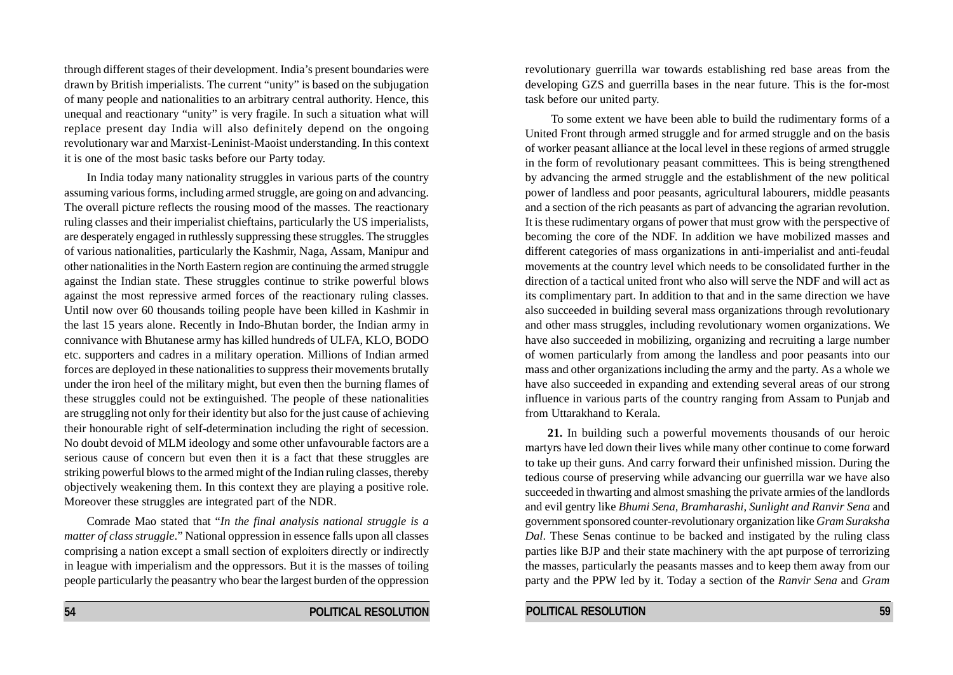through different stages of their development. India's present boundaries were drawn by British imperialists. The current "unity" is based on the subjugation of many people and nationalities to an arbitrary central authority. Hence, this unequal and reactionary "unity" is very fragile. In such a situation what will replace present day India will also definitely depend on the ongoing revolutionary war and Marxist-Leninist-Maoist understanding. In this context it is one of the most basic tasks before our Party today.

In India today many nationality struggles in various parts of the country assuming various forms, including armed struggle, are going on and advancing. The overall picture reflects the rousing mood of the masses. The reactionary ruling classes and their imperialist chieftains, particularly the US imperialists, are desperately engaged in ruthlessly suppressing these struggles. The struggles of various nationalities, particularly the Kashmir, Naga, Assam, Manipur and other nationalities in the North Eastern region are continuing the armed struggle against the Indian state. These struggles continue to strike powerful blows against the most repressive armed forces of the reactionary ruling classes. Until now over 60 thousands toiling people have been killed in Kashmir in the last 15 years alone. Recently in Indo-Bhutan border, the Indian army in connivance with Bhutanese army has killed hundreds of ULFA, KLO, BODO etc. supporters and cadres in a military operation. Millions of Indian armed forces are deployed in these nationalities to suppress their movements brutally under the iron heel of the military might, but even then the burning flames of these struggles could not be extinguished. The people of these nationalities are struggling not only for their identity but also for the just cause of achieving their honourable right of self-determination including the right of secession. No doubt devoid of MLM ideology and some other unfavourable factors are a serious cause of concern but even then it is a fact that these struggles are striking powerful blows to the armed might of the Indian ruling classes, thereby objectively weakening them. In this context they are playing a positive role. Moreover these struggles are integrated part of the NDR.

Comrade Mao stated that "*In the final analysis national struggle is a matter of class struggle*." National oppression in essence falls upon all classes comprising a nation except a small section of exploiters directly or indirectly in league with imperialism and the oppressors. But it is the masses of toiling people particularly the peasantry who bear the largest burden of the oppression revolutionary guerrilla war towards establishing red base areas from the developing GZS and guerrilla bases in the near future. This is the for-most task before our united party.

 To some extent we have been able to build the rudimentary forms of a United Front through armed struggle and for armed struggle and on the basis of worker peasant alliance at the local level in these regions of armed struggle in the form of revolutionary peasant committees. This is being strengthened by advancing the armed struggle and the establishment of the new political power of landless and poor peasants, agricultural labourers, middle peasants and a section of the rich peasants as part of advancing the agrarian revolution. It is these rudimentary organs of power that must grow with the perspective of becoming the core of the NDF. In addition we have mobilized masses and different categories of mass organizations in anti-imperialist and anti-feudal movements at the country level which needs to be consolidated further in the direction of a tactical united front who also will serve the NDF and will act as its complimentary part. In addition to that and in the same direction we have also succeeded in building several mass organizations through revolutionary and other mass struggles, including revolutionary women organizations. We have also succeeded in mobilizing, organizing and recruiting a large number of women particularly from among the landless and poor peasants into our mass and other organizations including the army and the party. As a whole we have also succeeded in expanding and extending several areas of our strong influence in various parts of the country ranging from Assam to Punjab and from Uttarakhand to Kerala.

**21.** In building such a powerful movements thousands of our heroic martyrs have led down their lives while many other continue to come forward to take up their guns. And carry forward their unfinished mission. During the tedious course of preserving while advancing our guerrilla war we have also succeeded in thwarting and almost smashing the private armies of the landlords and evil gentry like *Bhumi Sena, Bramharashi, Sunlight and Ranvir Sena* and government sponsored counter-revolutionary organization like *Gram Suraksha Dal*. These Senas continue to be backed and instigated by the ruling class parties like BJP and their state machinery with the apt purpose of terrorizing the masses, particularly the peasants masses and to keep them away from our party and the PPW led by it. Today a section of the *Ranvir Sena* and *Gram*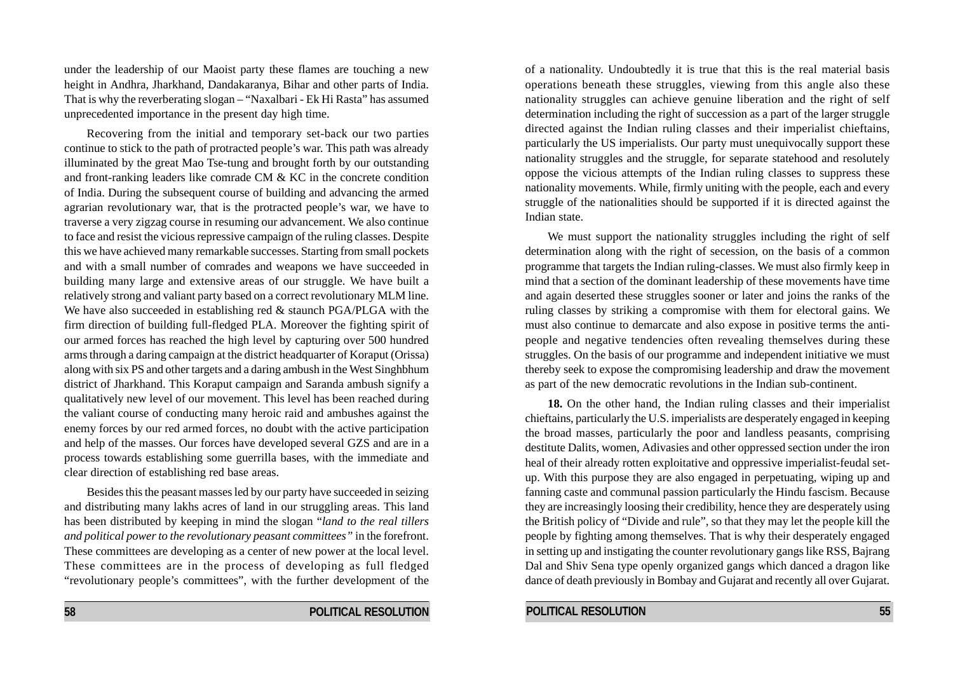under the leadership of our Maoist party these flames are touching a new height in Andhra, Jharkhand, Dandakaranya, Bihar and other parts of India. That is why the reverberating slogan – "Naxalbari - Ek Hi Rasta" has assumed unprecedented importance in the present day high time.

Recovering from the initial and temporary set-back our two parties continue to stick to the path of protracted people's war. This path was already illuminated by the great Mao Tse-tung and brought forth by our outstanding and front-ranking leaders like comrade CM & KC in the concrete condition of India. During the subsequent course of building and advancing the armed agrarian revolutionary war, that is the protracted people's war, we have to traverse a very zigzag course in resuming our advancement. We also continue to face and resist the vicious repressive campaign of the ruling classes. Despite this we have achieved many remarkable successes. Starting from small pockets and with a small number of comrades and weapons we have succeeded in building many large and extensive areas of our struggle. We have built a relatively strong and valiant party based on a correct revolutionary MLM line. We have also succeeded in establishing red & staunch PGA/PLGA with the firm direction of building full-fledged PLA. Moreover the fighting spirit of our armed forces has reached the high level by capturing over 500 hundred arms through a daring campaign at the district headquarter of Koraput (Orissa) along with six PS and other targets and a daring ambush in the West Singhbhum district of Jharkhand. This Koraput campaign and Saranda ambush signify a qualitatively new level of our movement. This level has been reached during the valiant course of conducting many heroic raid and ambushes against the enemy forces by our red armed forces, no doubt with the active participation and help of the masses. Our forces have developed several GZS and are in a process towards establishing some guerrilla bases, with the immediate and clear direction of establishing red base areas.

Besides this the peasant masses led by our party have succeeded in seizing and distributing many lakhs acres of land in our struggling areas. This land has been distributed by keeping in mind the slogan "*land to the real tillers and political power to the revolutionary peasant committees"* in the forefront. These committees are developing as a center of new power at the local level. These committees are in the process of developing as full fledged "revolutionary people's committees", with the further development of the

of a nationality. Undoubtedly it is true that this is the real material basis operations beneath these struggles, viewing from this angle also these nationality struggles can achieve genuine liberation and the right of self determination including the right of succession as a part of the larger struggle directed against the Indian ruling classes and their imperialist chieftains, particularly the US imperialists. Our party must unequivocally support these nationality struggles and the struggle, for separate statehood and resolutely oppose the vicious attempts of the Indian ruling classes to suppress these nationality movements. While, firmly uniting with the people, each and every struggle of the nationalities should be supported if it is directed against the Indian state.

We must support the nationality struggles including the right of self determination along with the right of secession, on the basis of a common programme that targets the Indian ruling-classes. We must also firmly keep in mind that a section of the dominant leadership of these movements have time and again deserted these struggles sooner or later and joins the ranks of the ruling classes by striking a compromise with them for electoral gains. We must also continue to demarcate and also expose in positive terms the antipeople and negative tendencies often revealing themselves during these struggles. On the basis of our programme and independent initiative we must thereby seek to expose the compromising leadership and draw the movement as part of the new democratic revolutions in the Indian sub-continent.

**18.** On the other hand, the Indian ruling classes and their imperialist chieftains, particularly the U.S. imperialists are desperately engaged in keeping the broad masses, particularly the poor and landless peasants, comprising destitute Dalits, women, Adivasies and other oppressed section under the iron heal of their already rotten exploitative and oppressive imperialist-feudal setup. With this purpose they are also engaged in perpetuating, wiping up and fanning caste and communal passion particularly the Hindu fascism. Because they are increasingly loosing their credibility, hence they are desperately using the British policy of "Divide and rule", so that they may let the people kill the people by fighting among themselves. That is why their desperately engaged in setting up and instigating the counter revolutionary gangs like RSS, Bajrang Dal and Shiv Sena type openly organized gangs which danced a dragon like dance of death previously in Bombay and Gujarat and recently all over Gujarat.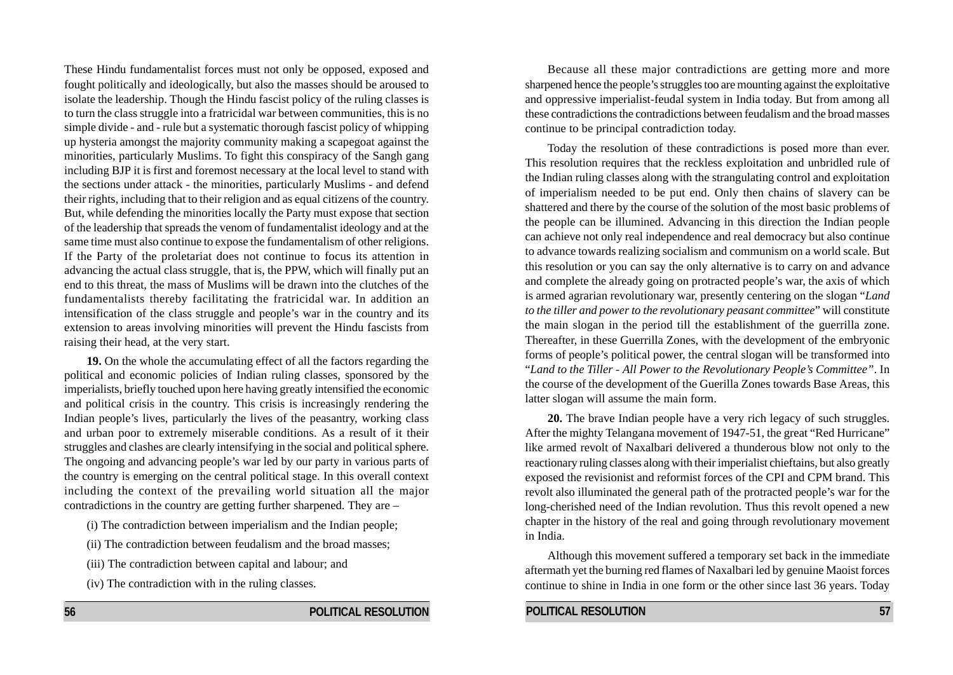These Hindu fundamentalist forces must not only be opposed, exposed and fought politically and ideologically, but also the masses should be aroused to isolate the leadership. Though the Hindu fascist policy of the ruling classes is to turn the class struggle into a fratricidal war between communities, this is no simple divide - and - rule but a systematic thorough fascist policy of whipping up hysteria amongst the majority community making a scapegoat against the minorities, particularly Muslims. To fight this conspiracy of the Sangh gang including BJP it is first and foremost necessary at the local level to stand with the sections under attack - the minorities, particularly Muslims - and defend their rights, including that to their religion and as equal citizens of the country. But, while defending the minorities locally the Party must expose that section of the leadership that spreads the venom of fundamentalist ideology and at the same time must also continue to expose the fundamentalism of other religions. If the Party of the proletariat does not continue to focus its attention in advancing the actual class struggle, that is, the PPW, which will finally put an end to this threat*,* the mass of Muslims will be drawn into the clutches of the fundamentalists thereby facilitating the fratricidal war. In addition an intensification of the class struggle and people's war in the country and its extension to areas involving minorities will prevent the Hindu fascists from raising their head, at the very start.

**19.** On the whole the accumulating effect of all the factors regarding the political and economic policies of Indian ruling classes, sponsored by the imperialists, briefly touched upon here having greatly intensified the economic and political crisis in the country. This crisis is increasingly rendering the Indian people's lives, particularly the lives of the peasantry, working class and urban poor to extremely miserable conditions. As a result of it their struggles and clashes are clearly intensifying in the social and political sphere. The ongoing and advancing people's war led by our party in various parts of the country is emerging on the central political stage. In this overall context including the context of the prevailing world situation all the major contradictions in the country are getting further sharpened. They are –

- (i) The contradiction between imperialism and the Indian people;
- (ii) The contradiction between feudalism and the broad masses;
- (iii) The contradiction between capital and labour; and
- (iv) The contradiction with in the ruling classes.

Because all these major contradictions are getting more and more sharpened hence the people's struggles too are mounting against the exploitative and oppressive imperialist-feudal system in India today. But from among all these contradictions the contradictions between feudalism and the broad masses continue to be principal contradiction today.

Today the resolution of these contradictions is posed more than ever. This resolution requires that the reckless exploitation and unbridled rule of the Indian ruling classes along with the strangulating control and exploitation of imperialism needed to be put end. Only then chains of slavery can be shattered and there by the course of the solution of the most basic problems of the people can be illumined. Advancing in this direction the Indian people can achieve not only real independence and real democracy but also continue to advance towards realizing socialism and communism on a world scale. But this resolution or you can say the only alternative is to carry on and advance and complete the already going on protracted people's war, the axis of which is armed agrarian revolutionary war, presently centering on the slogan "*Land to the tiller and power to the revolutionary peasant committee*" will constitute the main slogan in the period till the establishment of the guerrilla zone. Thereafter, in these Guerrilla Zones, with the development of the embryonic forms of people's political power, the central slogan will be transformed into "*Land to the Tiller* - *All Power to the Revolutionary People's Committee"*. In the course of the development of the Guerilla Zones towards Base Areas, this latter slogan will assume the main form.

**20.** The brave Indian people have a very rich legacy of such struggles. After the mighty Telangana movement of 1947-51, the great "Red Hurricane" like armed revolt of Naxalbari delivered a thunderous blow not only to the reactionary ruling classes along with their imperialist chieftains, but also greatly exposed the revisionist and reformist forces of the CPI and CPM brand. This revolt also illuminated the general path of the protracted people's war for the long-cherished need of the Indian revolution. Thus this revolt opened a new chapter in the history of the real and going through revolutionary movement in India.

Although this movement suffered a temporary set back in the immediate aftermath yet the burning red flames of Naxalbari led by genuine Maoist forces continue to shine in India in one form or the other since last 36 years. Today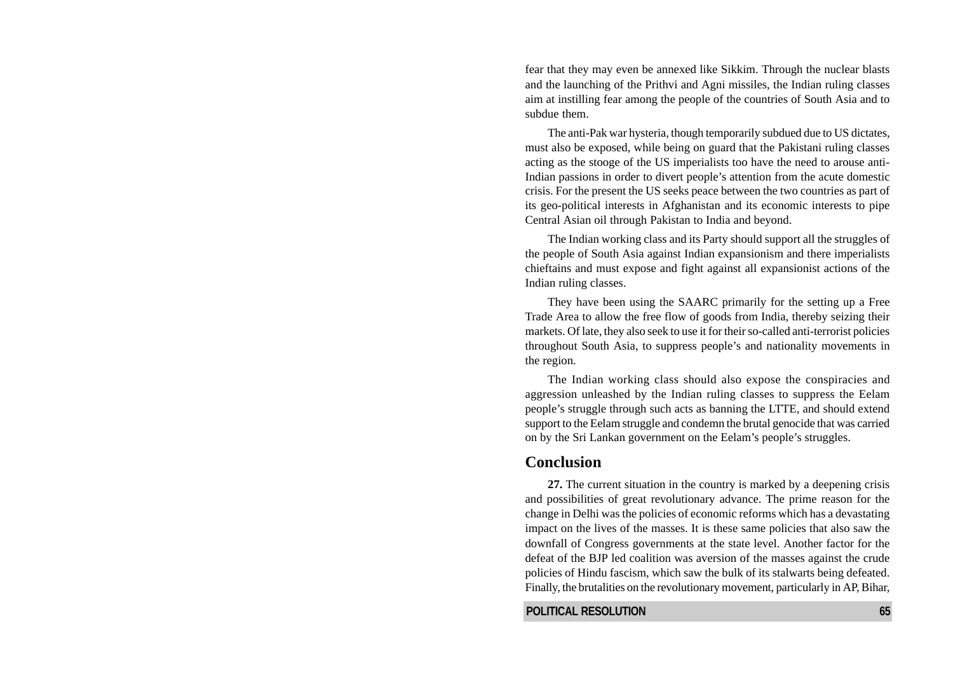fear that they may even be annexed like Sikkim. Through the nuclear blasts and the launching of the Prithvi and Agni missiles, the Indian ruling classes aim at instilling fear among the people of the countries of South Asia and to subdue them.

The anti-Pak war hysteria, though temporarily subdued due to US dictates, must also be exposed, while being on guard that the Pakistani ruling classes acting as the stooge of the US imperialists too have the need to arouse anti-Indian passions in order to divert people's attention from the acute domestic crisis. For the present the US seeks peace between the two countries as part of its geo-political interests in Afghanistan and its economic interests to pipe Central Asian oil through Pakistan to India and beyond.

The Indian working class and its Party should support all the struggles of the people of South Asia against Indian expansionism and there imperialists chieftains and must expose and fight against all expansionist actions of the Indian ruling classes.

They have been using the SAARC primarily for the setting up a Free Trade Area to allow the free flow of goods from India, thereby seizing their markets. Of late, they also seek to use it for their so-called anti-terrorist policies throughout South Asia, to suppress people's and nationality movements in the region.

The Indian working class should also expose the conspiracies and aggression unleashed by the Indian ruling classes to suppress the Eelam people's struggle through such acts as banning the LTTE, and should extend support to the Eelam struggle and condemn the brutal genocide that was carried on by the Sri Lankan government on the Eelam's people's struggles.

#### **Conclusion**

**27.** The current situation in the country is marked by a deepening crisis and possibilities of great revolutionary advance. The prime reason for the change in Delhi was the policies of economic reforms which has a devastating impact on the lives of the masses. It is these same policies that also saw the downfall of Congress governments at the state level. Another factor for the defeat of the BJP led coalition was aversion of the masses against the crude policies of Hindu fascism, which saw the bulk of its stalwarts being defeated. Finally, the brutalities on the revolutionary movement, particularly in AP, Bihar,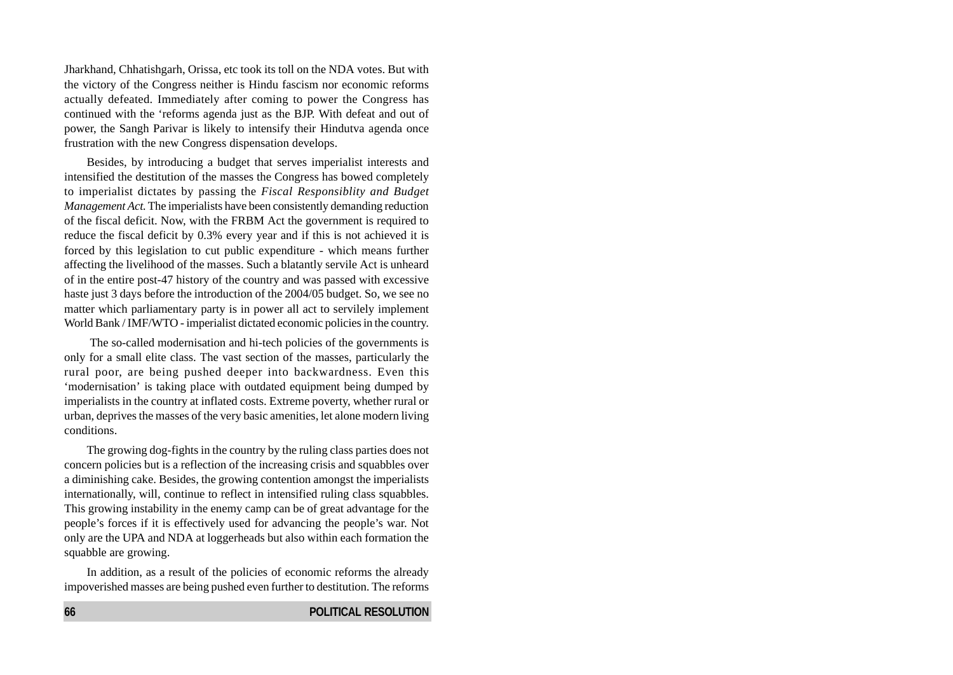Jharkhand, Chhatishgarh, Orissa, etc took its toll on the NDA votes. But with the victory of the Congress neither is Hindu fascism nor economic reforms actually defeated. Immediately after coming to power the Congress has continued with the 'reforms agenda just as the BJP. With defeat and out of power, the Sangh Parivar is likely to intensify their Hindutva agenda once frustration with the new Congress dispensation develops.

Besides, by introducing a budget that serves imperialist interests and intensified the destitution of the masses the Congress has bowed completely to imperialist dictates by passing the *Fiscal Responsiblity and Budget Management Act.* The imperialists have been consistently demanding reduction of the fiscal deficit. Now, with the FRBM Act the government is required to reduce the fiscal deficit by 0.3% every year and if this is not achieved it is forced by this legislation to cut public expenditure - which means further affecting the livelihood of the masses. Such a blatantly servile Act is unheard of in the entire post-47 history of the country and was passed with excessive haste just 3 days before the introduction of the 2004/05 budget. So, we see no matter which parliamentary party is in power all act to servilely implement World Bank / IMF/WTO - imperialist dictated economic policies in the country.

 The so-called modernisation and hi-tech policies of the governments is only for a small elite class. The vast section of the masses, particularly the rural poor, are being pushed deeper into backwardness. Even this 'modernisation' is taking place with outdated equipment being dumped by imperialists in the country at inflated costs. Extreme poverty, whether rural or urban, deprives the masses of the very basic amenities, let alone modern living conditions.

The growing dog-fights in the country by the ruling class parties does not concern policies but is a reflection of the increasing crisis and squabbles over a diminishing cake. Besides, the growing contention amongst the imperialists internationally, will, continue to reflect in intensified ruling class squabbles. This growing instability in the enemy camp can be of great advantage for the people's forces if it is effectively used for advancing the people's war. Not only are the UPA and NDA at loggerheads but also within each formation the squabble are growing.

In addition, as a result of the policies of economic reforms the already impoverished masses are being pushed even further to destitution. The reforms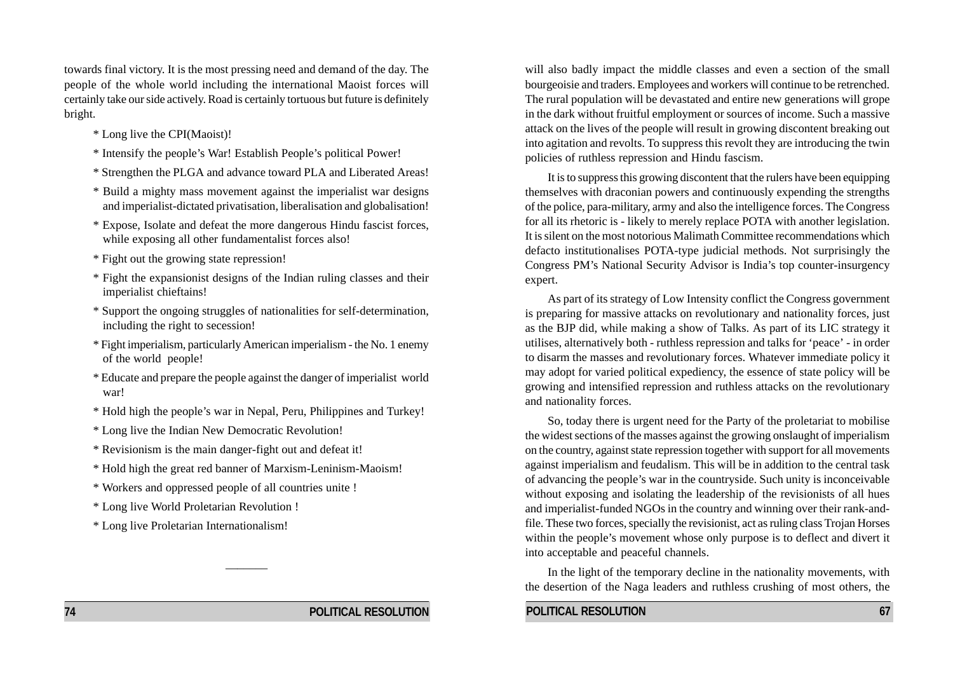towards final victory. It is the most pressing need and demand of the day. The people of the whole world including the international Maoist forces will certainly take our side actively. Road is certainly tortuous but future is definitely bright.

- \* Long live the CPI(Maoist)!
- \* Intensify the people's War! Establish People's political Power!
- \* Strengthen the PLGA and advance toward PLA and Liberated Areas!
- \* Build a mighty mass movement against the imperialist war designs and imperialist-dictated privatisation, liberalisation and globalisation!
- \* Expose, Isolate and defeat the more dangerous Hindu fascist forces, while exposing all other fundamentalist forces also!
- \* Fight out the growing state repression!
- \* Fight the expansionist designs of the Indian ruling classes and their imperialist chieftains!
- \* Support the ongoing struggles of nationalities for self-determination, including the right to secession!
- \* Fight imperialism, particularly American imperialism the No. 1 enemy of the world people!
- \* Educate and prepare the people against the danger of imperialist world war!
- \* Hold high the people's war in Nepal, Peru, Philippines and Turkey!
- \* Long live the Indian New Democratic Revolution!
- \* Revisionism is the main danger-fight out and defeat it!
- \* Hold high the great red banner of Marxism-Leninism-Maoism!

\_\_\_\_\_\_\_

- \* Workers and oppressed people of all countries unite !
- \* Long live World Proletarian Revolution !
- \* Long live Proletarian Internationalism!

will also badly impact the middle classes and even a section of the small bourgeoisie and traders. Employees and workers will continue to be retrenched. The rural population will be devastated and entire new generations will grope in the dark without fruitful employment or sources of income. Such a massive attack on the lives of the people will result in growing discontent breaking out into agitation and revolts. To suppress this revolt they are introducing the twin policies of ruthless repression and Hindu fascism.

It is to suppress this growing discontent that the rulers have been equipping themselves with draconian powers and continuously expending the strengths of the police, para-military, army and also the intelligence forces. The Congress for all its rhetoric is - likely to merely replace POTA with another legislation. It is silent on the most notorious Malimath Committee recommendations which defacto institutionalises POTA-type judicial methods. Not surprisingly the Congress PM's National Security Advisor is India's top counter-insurgency expert.

As part of its strategy of Low Intensity conflict the Congress government is preparing for massive attacks on revolutionary and nationality forces, just as the BJP did, while making a show of Talks. As part of its LIC strategy it utilises, alternatively both - ruthless repression and talks for 'peace' - in order to disarm the masses and revolutionary forces. Whatever immediate policy it may adopt for varied political expediency, the essence of state policy will be growing and intensified repression and ruthless attacks on the revolutionary and nationality forces.

So, today there is urgent need for the Party of the proletariat to mobilise the widest sections of the masses against the growing onslaught of imperialism on the country, against state repression together with support for all movements against imperialism and feudalism. This will be in addition to the central task of advancing the people's war in the countryside. Such unity is inconceivable without exposing and isolating the leadership of the revisionists of all hues and imperialist-funded NGOs in the country and winning over their rank-andfile. These two forces, specially the revisionist, act as ruling class Trojan Horses within the people's movement whose only purpose is to deflect and divert it into acceptable and peaceful channels.

In the light of the temporary decline in the nationality movements, with the desertion of the Naga leaders and ruthless crushing of most others, the

**POLITICAL RESOLUTION** 67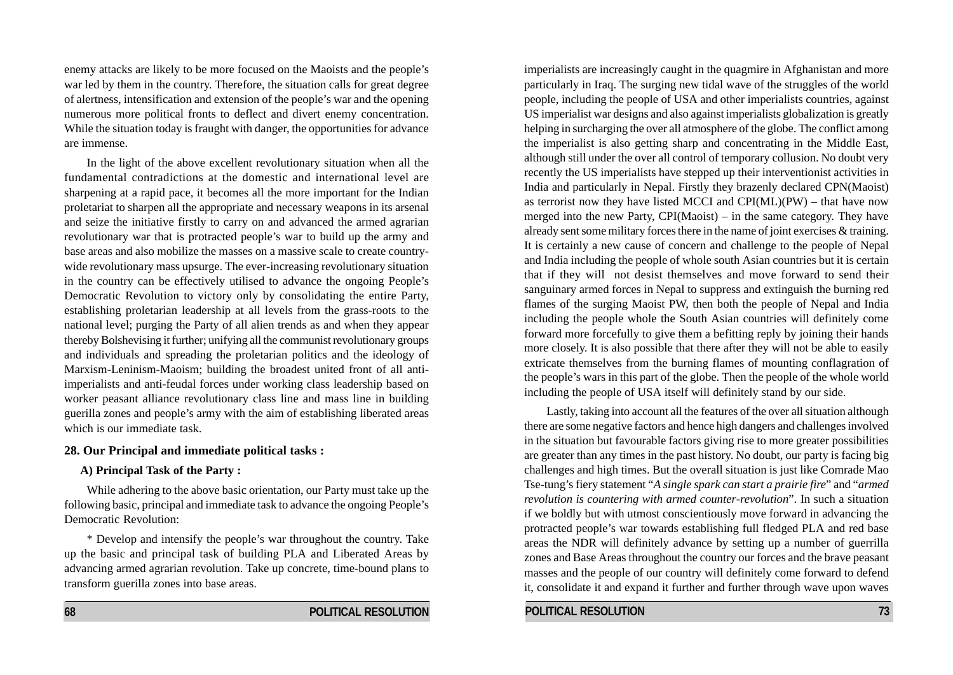enemy attacks are likely to be more focused on the Maoists and the people's war led by them in the country. Therefore, the situation calls for great degree of alertness, intensification and extension of the people's war and the opening numerous more political fronts to deflect and divert enemy concentration. While the situation today is fraught with danger, the opportunities for advance are immense.

In the light of the above excellent revolutionary situation when all the fundamental contradictions at the domestic and international level are sharpening at a rapid pace, it becomes all the more important for the Indian proletariat to sharpen all the appropriate and necessary weapons in its arsenal and seize the initiative firstly to carry on and advanced the armed agrarian revolutionary war that is protracted people's war to build up the army and base areas and also mobilize the masses on a massive scale to create countrywide revolutionary mass upsurge. The ever-increasing revolutionary situation in the country can be effectively utilised to advance the ongoing People's Democratic Revolution to victory only by consolidating the entire Party, establishing proletarian leadership at all levels from the grass-roots to the national level; purging the Party of all alien trends as and when they appear thereby Bolshevising it further; unifying all the communist revolutionary groups and individuals and spreading the proletarian politics and the ideology of Marxism-Leninism-Maoism; building the broadest united front of all antiimperialists and anti-feudal forces under working class leadership based on worker peasant alliance revolutionary class line and mass line in building guerilla zones and people's army with the aim of establishing liberated areas which is our immediate task.

#### **28. Our Principal and immediate political tasks :**

#### **A) Principal Task of the Party :**

While adhering to the above basic orientation, our Party must take up the following basic, principal and immediate task to advance the ongoing People's Democratic Revolution:

\* Develop and intensify the people's war throughout the country. Take up the basic and principal task of building PLA and Liberated Areas by advancing armed agrarian revolution. Take up concrete, time-bound plans to transform guerilla zones into base areas.

imperialists are increasingly caught in the quagmire in Afghanistan and more particularly in Iraq. The surging new tidal wave of the struggles of the world people, including the people of USA and other imperialists countries, against US imperialist war designs and also against imperialists globalization is greatly helping in surcharging the over all atmosphere of the globe. The conflict among the imperialist is also getting sharp and concentrating in the Middle East, although still under the over all control of temporary collusion. No doubt very recently the US imperialists have stepped up their interventionist activities in India and particularly in Nepal. Firstly they brazenly declared CPN(Maoist) as terrorist now they have listed MCCI and  $CPI(ML)(PW)$  – that have now merged into the new Party, CPI(Maoist) – in the same category. They have already sent some military forces there in the name of joint exercises & training. It is certainly a new cause of concern and challenge to the people of Nepal and India including the people of whole south Asian countries but it is certain that if they will not desist themselves and move forward to send their sanguinary armed forces in Nepal to suppress and extinguish the burning red flames of the surging Maoist PW, then both the people of Nepal and India including the people whole the South Asian countries will definitely come forward more forcefully to give them a befitting reply by joining their hands more closely. It is also possible that there after they will not be able to easily extricate themselves from the burning flames of mounting conflagration of the people's wars in this part of the globe. Then the people of the whole world including the people of USA itself will definitely stand by our side.

Lastly, taking into account all the features of the over all situation although there are some negative factors and hence high dangers and challenges involved in the situation but favourable factors giving rise to more greater possibilities are greater than any times in the past history. No doubt, our party is facing big challenges and high times. But the overall situation is just like Comrade Mao Tse-tung's fiery statement "*A single spark can start a prairie fire*" and "*armed revolution is countering with armed counter-revolution*". In such a situation if we boldly but with utmost conscientiously move forward in advancing the protracted people's war towards establishing full fledged PLA and red base areas the NDR will definitely advance by setting up a number of guerrilla zones and Base Areas throughout the country our forces and the brave peasant masses and the people of our country will definitely come forward to defend it, consolidate it and expand it further and further through wave upon waves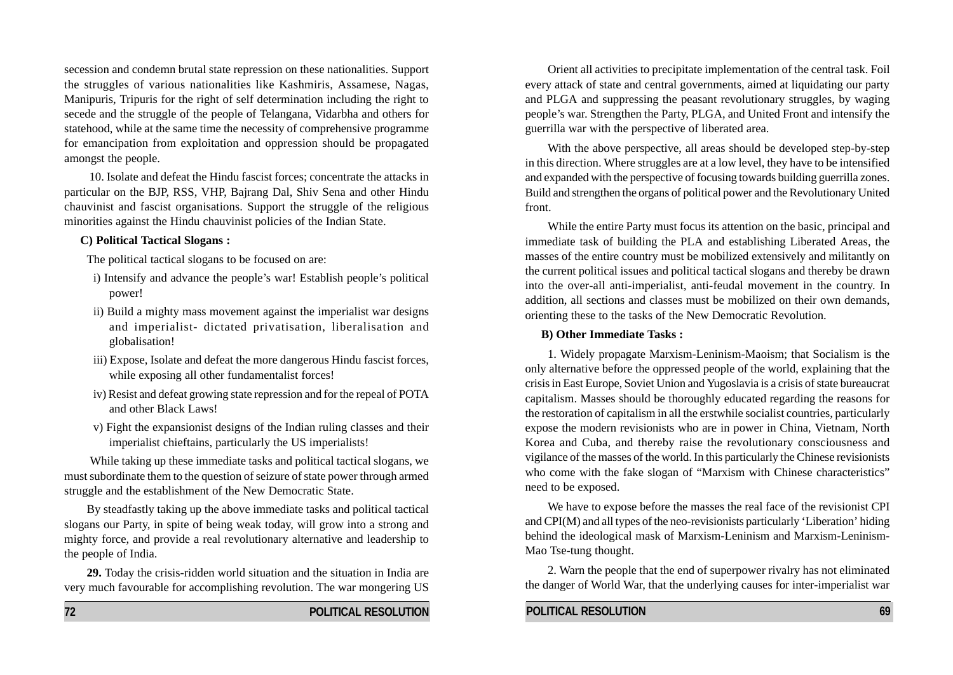secession and condemn brutal state repression on these nationalities. Support the struggles of various nationalities like Kashmiris, Assamese, Nagas, Manipuris, Tripuris for the right of self determination including the right to secede and the struggle of the people of Telangana, Vidarbha and others for statehood, while at the same time the necessity of comprehensive programme for emancipation from exploitation and oppression should be propagated amongst the people.

 10. Isolate and defeat the Hindu fascist forces; concentrate the attacks in particular on the BJP, RSS, VHP, Bajrang Dal, Shiv Sena and other Hindu chauvinist and fascist organisations. Support the struggle of the religious minorities against the Hindu chauvinist policies of the Indian State.

#### **C) Political Tactical Slogans :**

The political tactical slogans to be focused on are:

- i) Intensify and advance the people's war! Establish people's political power!
- ii) Build a mighty mass movement against the imperialist war designs and imperialist- dictated privatisation, liberalisation and globalisation!
- iii) Expose, Isolate and defeat the more dangerous Hindu fascist forces, while exposing all other fundamentalist forces!
- iv) Resist and defeat growing state repression and for the repeal of POTA and other Black Laws!
- v) Fight the expansionist designs of the Indian ruling classes and their imperialist chieftains, particularly the US imperialists!

While taking up these immediate tasks and political tactical slogans, we must subordinate them to the question of seizure of state power through armed struggle and the establishment of the New Democratic State.

By steadfastly taking up the above immediate tasks and political tactical slogans our Party, in spite of being weak today, will grow into a strong and mighty force, and provide a real revolutionary alternative and leadership to the people of India.

**29.** Today the crisis-ridden world situation and the situation in India are very much favourable for accomplishing revolution. The war mongering US

Orient all activities to precipitate implementation of the central task. Foil every attack of state and central governments, aimed at liquidating our party and PLGA and suppressing the peasant revolutionary struggles, by waging people's war. Strengthen the Party, PLGA, and United Front and intensify the guerrilla war with the perspective of liberated area.

With the above perspective, all areas should be developed step-by-step in this direction. Where struggles are at a low level, they have to be intensified and expanded with the perspective of focusing towards building guerrilla zones. Build and strengthen the organs of political power and the Revolutionary United front.

While the entire Party must focus its attention on the basic, principal and immediate task of building the PLA and establishing Liberated Areas, the masses of the entire country must be mobilized extensively and militantly on the current political issues and political tactical slogans and thereby be drawn into the over-all anti-imperialist, anti-feudal movement in the country. In addition, all sections and classes must be mobilized on their own demands, orienting these to the tasks of the New Democratic Revolution.

#### **B) Other Immediate Tasks :**

1. Widely propagate Marxism-Leninism-Maoism; that Socialism is the only alternative before the oppressed people of the world, explaining that the crisis in East Europe, Soviet Union and Yugoslavia is a crisis of state bureaucrat capitalism. Masses should be thoroughly educated regarding the reasons for the restoration of capitalism in all the erstwhile socialist countries, particularly expose the modern revisionists who are in power in China, Vietnam, North Korea and Cuba, and thereby raise the revolutionary consciousness and vigilance of the masses of the world. In this particularly the Chinese revisionists who come with the fake slogan of "Marxism with Chinese characteristics" need to be exposed.

We have to expose before the masses the real face of the revisionist CPI and  $CPI(M)$  and all types of the neo-revisionists particularly 'Liberation' hiding behind the ideological mask of Marxism-Leninism and Marxism-Leninism-Mao Tse-tung thought.

2. Warn the people that the end of superpower rivalry has not eliminated the danger of World War, that the underlying causes for inter-imperialist war